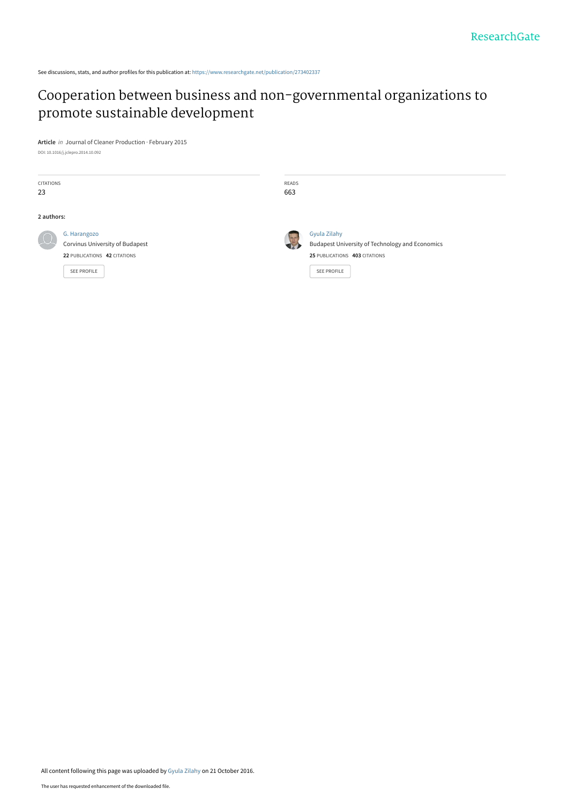See discussions, stats, and author profiles for this publication at: [https://www.researchgate.net/publication/273402337](https://www.researchgate.net/publication/273402337_Cooperation_between_business_and_non-governmental_organizations_to_promote_sustainable_development?enrichId=rgreq-e7b7e6f40652518228918ef0ccafa858-XXX&enrichSource=Y292ZXJQYWdlOzI3MzQwMjMzNztBUzo0MTk2OTg3NjUyNTQ2NTZAMTQ3NzA3NTM5MTc3Mg%3D%3D&el=1_x_2&_esc=publicationCoverPdf)

# [Cooperation between business and non-governmental organizations to](https://www.researchgate.net/publication/273402337_Cooperation_between_business_and_non-governmental_organizations_to_promote_sustainable_development?enrichId=rgreq-e7b7e6f40652518228918ef0ccafa858-XXX&enrichSource=Y292ZXJQYWdlOzI3MzQwMjMzNztBUzo0MTk2OTg3NjUyNTQ2NTZAMTQ3NzA3NTM5MTc3Mg%3D%3D&el=1_x_3&_esc=publicationCoverPdf) promote sustainable development

**Article** in Journal of Cleaner Production · February 2015 DOI: 10.1016/j.jclepro.2014.10.092

| <b>CITATIONS</b><br>23 |                                                                                                       | READS<br>663 |                                                                                                                        |
|------------------------|-------------------------------------------------------------------------------------------------------|--------------|------------------------------------------------------------------------------------------------------------------------|
| 2 authors:             |                                                                                                       |              |                                                                                                                        |
| $\mu$                  | G. Harangozo<br>Corvinus University of Budapest<br>22 PUBLICATIONS 42 CITATIONS<br><b>SEE PROFILE</b> | <b>In</b>    | <b>Gyula Zilahy</b><br>Budapest University of Technology and Economics<br>25 PUBLICATIONS 403 CITATIONS<br>SEE PROFILE |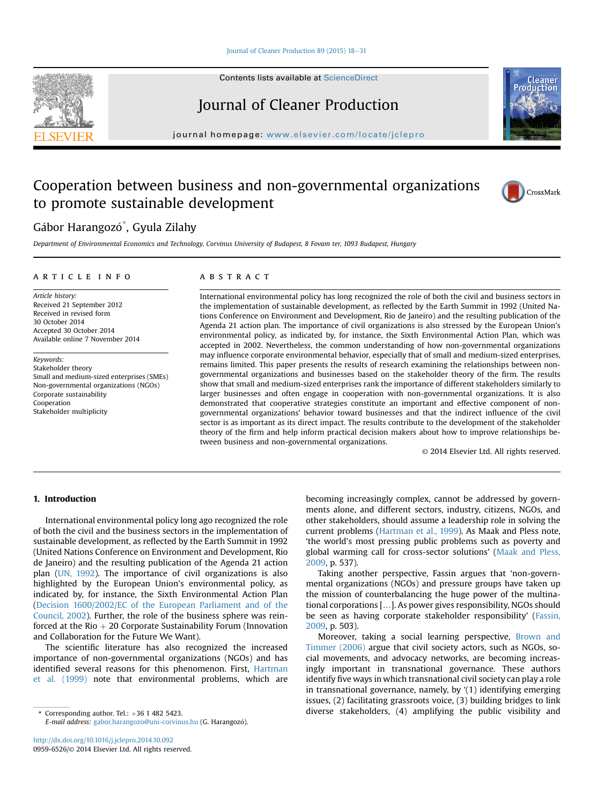### Iournal of Cleaner Production 89 (2015) 18-[31](http://dx.doi.org/10.1016/j.jclepro.2014.10.092)

Contents lists available at ScienceDirect

# Journal of Cleaner Production

journal homepage: [www.elsevier.com/locate/jclepro](http://www.elsevier.com/locate/jclepro)

## Cooperation between business and non-governmental organizations to promote sustainable development

## Gábor Harangozó<sup>\*</sup>, Gyula Zilahy

Department of Environmental Economics and Technology, Corvinus University of Budapest, 8 Fovam ter, 1093 Budapest, Hungary

#### article info

Article history: Received 21 September 2012 Received in revised form 30 October 2014 Accepted 30 October 2014 Available online 7 November 2014

Keywords: Stakeholder theory Small and medium-sized enterprises (SMEs) Non-governmental organizations (NGOs) Corporate sustainability Cooperation Stakeholder multiplicity

## **ABSTRACT**

International environmental policy has long recognized the role of both the civil and business sectors in the implementation of sustainable development, as reflected by the Earth Summit in 1992 (United Nations Conference on Environment and Development, Rio de Janeiro) and the resulting publication of the Agenda 21 action plan. The importance of civil organizations is also stressed by the European Union's environmental policy, as indicated by, for instance, the Sixth Environmental Action Plan, which was accepted in 2002. Nevertheless, the common understanding of how non-governmental organizations may influence corporate environmental behavior, especially that of small and medium-sized enterprises, remains limited. This paper presents the results of research examining the relationships between nongovernmental organizations and businesses based on the stakeholder theory of the firm. The results show that small and medium-sized enterprises rank the importance of different stakeholders similarly to larger businesses and often engage in cooperation with non-governmental organizations. It is also demonstrated that cooperative strategies constitute an important and effective component of nongovernmental organizations' behavior toward businesses and that the indirect influence of the civil sector is as important as its direct impact. The results contribute to the development of the stakeholder theory of the firm and help inform practical decision makers about how to improve relationships between business and non-governmental organizations.

© 2014 Elsevier Ltd. All rights reserved.

## 1. Introduction

International environmental policy long ago recognized the role of both the civil and the business sectors in the implementation of sustainable development, as reflected by the Earth Summit in 1992 (United Nations Conference on Environment and Development, Rio de Janeiro) and the resulting publication of the Agenda 21 action plan [\(UN, 1992\)](#page-14-0). The importance of civil organizations is also highlighted by the European Union's environmental policy, as indicated by, for instance, the Sixth Environmental Action Plan ([Decision 1600/2002/EC of the European Parliament and of the](#page-13-0) [Council, 2002](#page-13-0)). Further, the role of the business sphere was reinforced at the Rio  $+$  20 Corporate Sustainability Forum (Innovation and Collaboration for the Future We Want).

The scientific literature has also recognized the increased importance of non-governmental organizations (NGOs) and has identified several reasons for this phenomenon. First, [Hartman](#page-13-0) [et al. \(1999\)](#page-13-0) note that environmental problems, which are

E-mail address: [gabor.harangozo@uni-corvinus.hu](mailto:gabor.harangozo@uni-corvinus.hu) (G. Harangozo).

becoming increasingly complex, cannot be addressed by governments alone, and different sectors, industry, citizens, NGOs, and other stakeholders, should assume a leadership role in solving the current problems [\(Hartman et al., 1999](#page-13-0)). As Maak and Pless note, 'the world's most pressing public problems such as poverty and global warming call for cross-sector solutions' ([Maak and Pless,](#page-13-0) [2009](#page-13-0), p. 537). Taking another perspective, Fassin argues that 'non-govern-

mental organizations (NGOs) and pressure groups have taken up the mission of counterbalancing the huge power of the multinational corporations […]. As power gives responsibility, NGOs should be seen as having corporate stakeholder responsibility' [\(Fassin,](#page-13-0) [2009](#page-13-0), p. 503).

Moreover, taking a social learning perspective, [Brown and](#page-13-0) [Timmer \(2006\)](#page-13-0) argue that civil society actors, such as NGOs, social movements, and advocacy networks, are becoming increasingly important in transnational governance. These authors identify five ways in which transnational civil society can play a role in transnational governance, namely, by '(1) identifying emerging issues, (2) facilitating grassroots voice, (3) building bridges to link \* Corresponding author. Tel.: <sup>þ</sup>36 1 482 5423. diverse stakeholders, (4) amplifying the public visibility and





Cleane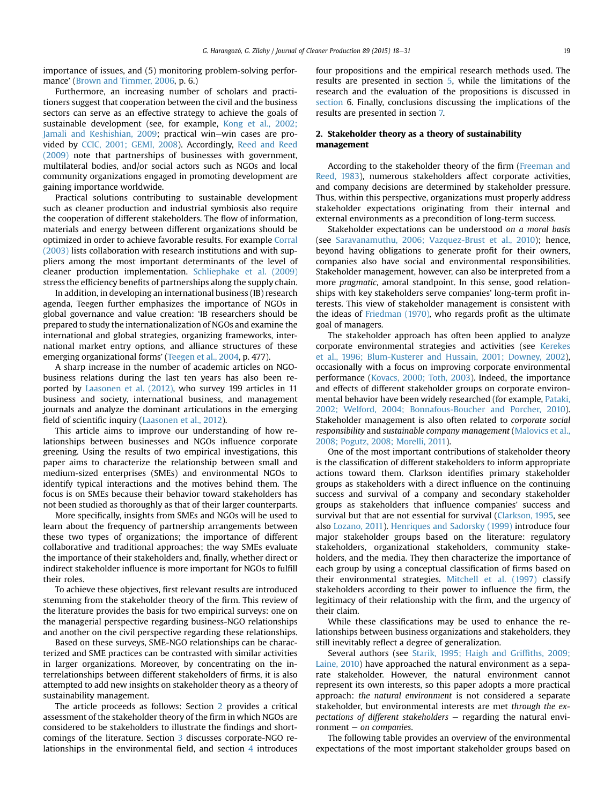importance of issues, and (5) monitoring problem-solving performance' ([Brown and Timmer, 2006,](#page-13-0) p. 6.)

Furthermore, an increasing number of scholars and practitioners suggest that cooperation between the civil and the business sectors can serve as an effective strategy to achieve the goals of sustainable development (see, for example, [Kong et al., 2002;](#page-13-0) [Jamali and Keshishian, 2009;](#page-13-0) practical win-win cases are provided by [CCIC, 2001; GEMI, 2008](#page-13-0)). Accordingly, [Reed and Reed](#page-13-0) [\(2009\)](#page-13-0) note that partnerships of businesses with government, multilateral bodies, and/or social actors such as NGOs and local community organizations engaged in promoting development are gaining importance worldwide.

Practical solutions contributing to sustainable development such as cleaner production and industrial symbiosis also require the cooperation of different stakeholders. The flow of information, materials and energy between different organizations should be optimized in order to achieve favorable results. For example [Corral](#page-13-0) [\(2003\)](#page-13-0) lists collaboration with research institutions and with suppliers among the most important determinants of the level of cleaner production implementation. [Schliephake et al. \(2009\)](#page-13-0) stress the efficiency benefits of partnerships along the supply chain.

In addition, in developing an international business (IB) research agenda, Teegen further emphasizes the importance of NGOs in global governance and value creation: 'IB researchers should be prepared to study the internationalization of NGOs and examine the international and global strategies, organizing frameworks, international market entry options, and alliance structures of these emerging organizational forms' ([Teegen et al., 2004](#page-13-0), p. 477).

A sharp increase in the number of academic articles on NGObusiness relations during the last ten years has also been reported by [Laasonen et al. \(2012\),](#page-13-0) who survey 199 articles in 11 business and society, international business, and management journals and analyze the dominant articulations in the emerging field of scientific inquiry [\(Laasonen et al., 2012](#page-13-0)).

This article aims to improve our understanding of how relationships between businesses and NGOs influence corporate greening. Using the results of two empirical investigations, this paper aims to characterize the relationship between small and medium-sized enterprises (SMEs) and environmental NGOs to identify typical interactions and the motives behind them. The focus is on SMEs because their behavior toward stakeholders has not been studied as thoroughly as that of their larger counterparts.

More specifically, insights from SMEs and NGOs will be used to learn about the frequency of partnership arrangements between these two types of organizations; the importance of different collaborative and traditional approaches; the way SMEs evaluate the importance of their stakeholders and, finally, whether direct or indirect stakeholder influence is more important for NGOs to fulfill their roles.

To achieve these objectives, first relevant results are introduced stemming from the stakeholder theory of the firm. This review of the literature provides the basis for two empirical surveys: one on the managerial perspective regarding business-NGO relationships and another on the civil perspective regarding these relationships.

Based on these surveys, SME-NGO relationships can be characterized and SME practices can be contrasted with similar activities in larger organizations. Moreover, by concentrating on the interrelationships between different stakeholders of firms, it is also attempted to add new insights on stakeholder theory as a theory of sustainability management.

The article proceeds as follows: Section 2 provides a critical assessment of the stakeholder theory of the firm in which NGOs are considered to be stakeholders to illustrate the findings and shortcomings of the literature. Section [3](#page-4-0) discusses corporate-NGO relationships in the environmental field, and section [4](#page-6-0) introduces four propositions and the empirical research methods used. The results are presented in section [5,](#page-7-0) while the limitations of the research and the evaluation of the propositions is discussed in [section](#page-10-0) 6. Finally, conclusions discussing the implications of the results are presented in section [7.](#page-11-0)

## 2. Stakeholder theory as a theory of sustainability management

According to the stakeholder theory of the firm ([Freeman and](#page-13-0) [Reed, 1983\)](#page-13-0), numerous stakeholders affect corporate activities, and company decisions are determined by stakeholder pressure. Thus, within this perspective, organizations must properly address stakeholder expectations originating from their internal and external environments as a precondition of long-term success.

Stakeholder expectations can be understood on a moral basis (see [Saravanamuthu, 2006; Vazquez-Brust et al., 2010\)](#page-13-0); hence, beyond having obligations to generate profit for their owners, companies also have social and environmental responsibilities. Stakeholder management, however, can also be interpreted from a more pragmatic, amoral standpoint. In this sense, good relationships with key stakeholders serve companies' long-term profit interests. This view of stakeholder management is consistent with the ideas of [Friedman \(1970\),](#page-13-0) who regards profit as the ultimate goal of managers.

The stakeholder approach has often been applied to analyze corporate environmental strategies and activities (see [Kerekes](#page-13-0) [et al., 1996; Blum-Kusterer and Hussain, 2001; Downey, 2002\)](#page-13-0), occasionally with a focus on improving corporate environmental performance [\(Kovacs, 2000; Toth, 2003](#page-13-0)). Indeed, the importance and effects of different stakeholder groups on corporate environmental behavior have been widely researched (for example, [Pataki,](#page-13-0) [2002; Welford, 2004; Bonnafous-Boucher and Porcher, 2010\)](#page-13-0). Stakeholder management is also often related to corporate social responsibility and sustainable company management ([Malovics et al.,](#page-13-0) [2008; Pogutz, 2008; Morelli, 2011](#page-13-0)).

One of the most important contributions of stakeholder theory is the classification of different stakeholders to inform appropriate actions toward them. Clarkson identifies primary stakeholder groups as stakeholders with a direct influence on the continuing success and survival of a company and secondary stakeholder groups as stakeholders that influence companies' success and survival but that are not essential for survival ([Clarkson, 1995,](#page-13-0) see also [Lozano, 2011](#page-13-0)). [Henriques and Sadorsky \(1999\)](#page-13-0) introduce four major stakeholder groups based on the literature: regulatory stakeholders, organizational stakeholders, community stakeholders, and the media. They then characterize the importance of each group by using a conceptual classification of firms based on their environmental strategies. [Mitchell et al. \(1997\)](#page-13-0) classify stakeholders according to their power to influence the firm, the legitimacy of their relationship with the firm, and the urgency of their claim.

While these classifications may be used to enhance the relationships between business organizations and stakeholders, they still inevitably reflect a degree of generalization.

Several authors (see [Starik, 1995; Haigh and Grif](#page-13-0)fiths, 2009; [Laine, 2010](#page-13-0)) have approached the natural environment as a separate stakeholder. However, the natural environment cannot represent its own interests, so this paper adopts a more practical approach: the natural environment is not considered a separate stakeholder, but environmental interests are met through the expectations of different stakeholders  $-$  regarding the natural environment  $-$  on companies.

The following table provides an overview of the environmental expectations of the most important stakeholder groups based on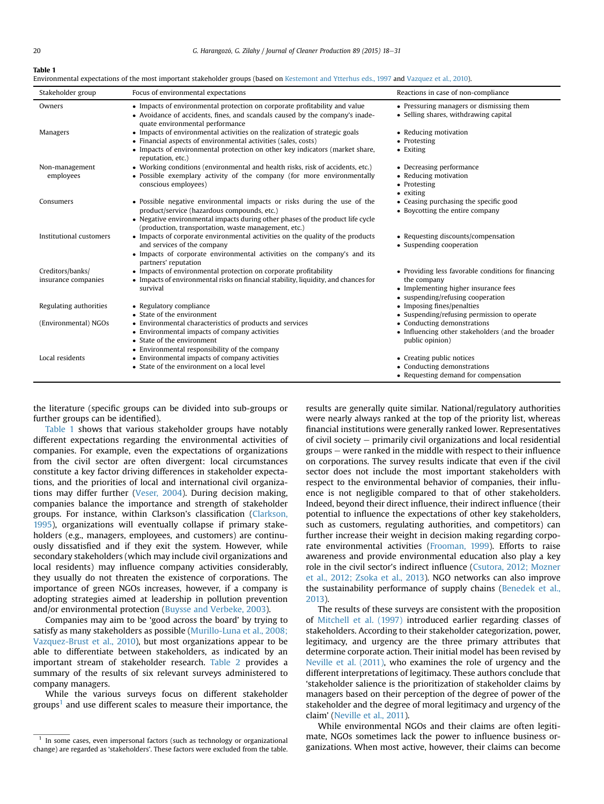#### Table 1

Environmental expectations of the most important stakeholder groups (based on [Kestemont and Ytterhus eds., 1997](#page-13-0) and [Vazquez et al., 2010\)](#page-14-0).

| Stakeholder group                       | Focus of environmental expectations                                                                                                                                                                                                                               | Reactions in case of non-compliance                                                                                                             |
|-----------------------------------------|-------------------------------------------------------------------------------------------------------------------------------------------------------------------------------------------------------------------------------------------------------------------|-------------------------------------------------------------------------------------------------------------------------------------------------|
| Owners                                  | • Impacts of environmental protection on corporate profitability and value<br>• Avoidance of accidents, fines, and scandals caused by the company's inade-<br>quate environmental performance                                                                     | • Pressuring managers or dismissing them<br>• Selling shares, withdrawing capital                                                               |
| Managers                                | • Impacts of environmental activities on the realization of strategic goals<br>• Financial aspects of environmental activities (sales, costs)<br>• Impacts of environmental protection on other key indicators (market share,<br>reputation, etc.)                | • Reducing motivation<br>• Protesting<br>• Exiting                                                                                              |
| Non-management<br>employees             | • Working conditions (environmental and health risks, risk of accidents, etc.)<br>• Possible exemplary activity of the company (for more environmentally<br>conscious employees)                                                                                  | • Decreasing performance<br>• Reducing motivation<br>• Protesting<br>• exiting                                                                  |
| Consumers                               | · Possible negative environmental impacts or risks during the use of the<br>product/service (hazardous compounds, etc.)<br>• Negative environmental impacts during other phases of the product life cycle<br>(production, transportation, waste management, etc.) | • Ceasing purchasing the specific good<br>• Boycotting the entire company                                                                       |
| Institutional customers                 | • Impacts of corporate environmental activities on the quality of the products<br>and services of the company<br>• Impacts of corporate environmental activities on the company's and its<br>partners' reputation                                                 | • Requesting discounts/compensation<br>• Suspending cooperation                                                                                 |
| Creditors/banks/<br>insurance companies | • Impacts of environmental protection on corporate profitability<br>• Impacts of environmental risks on financial stability, liquidity, and chances for<br>survival                                                                                               | • Providing less favorable conditions for financing<br>the company<br>• Implementing higher insurance fees<br>• suspending/refusing cooperation |
| Regulating authorities                  | • Regulatory compliance<br>• State of the environment                                                                                                                                                                                                             | • Imposing fines/penalties<br>• Suspending/refusing permission to operate                                                                       |
| (Environmental) NGOs                    | • Environmental characteristics of products and services<br>• Environmental impacts of company activities<br>• State of the environment<br>• Environmental responsibility of the company                                                                          | • Conducting demonstrations<br>• Influencing other stakeholders (and the broader<br>public opinion)                                             |
| Local residents                         | • Environmental impacts of company activities<br>• State of the environment on a local level                                                                                                                                                                      | • Creating public notices<br>• Conducting demonstrations<br>• Requesting demand for compensation                                                |

the literature (specific groups can be divided into sub-groups or further groups can be identified).

Table 1 shows that various stakeholder groups have notably different expectations regarding the environmental activities of companies. For example, even the expectations of organizations from the civil sector are often divergent: local circumstances constitute a key factor driving differences in stakeholder expectations, and the priorities of local and international civil organizations may differ further ([Veser, 2004\)](#page-14-0). During decision making, companies balance the importance and strength of stakeholder groups. For instance, within Clarkson's classification [\(Clarkson,](#page-13-0) [1995](#page-13-0)), organizations will eventually collapse if primary stakeholders (e.g., managers, employees, and customers) are continuously dissatisfied and if they exit the system. However, while secondary stakeholders (which may include civil organizations and local residents) may influence company activities considerably, they usually do not threaten the existence of corporations. The importance of green NGOs increases, however, if a company is adopting strategies aimed at leadership in pollution prevention and/or environmental protection ([Buysse and Verbeke, 2003](#page-13-0)).

Companies may aim to be 'good across the board' by trying to satisfy as many stakeholders as possible [\(Murillo-Luna et al., 2008;](#page-13-0) [Vazquez-Brust et al., 2010\)](#page-13-0), but most organizations appear to be able to differentiate between stakeholders, as indicated by an important stream of stakeholder research. [Table 2](#page-4-0) provides a summary of the results of six relevant surveys administered to company managers.

While the various surveys focus on different stakeholder groups<sup>1</sup> and use different scales to measure their importance, the results are generally quite similar. National/regulatory authorities were nearly always ranked at the top of the priority list, whereas financial institutions were generally ranked lower. Representatives of civil society  $-$  primarily civil organizations and local residential  $groups - were ranked in the middle with respect to their influence$ on corporations. The survey results indicate that even if the civil sector does not include the most important stakeholders with respect to the environmental behavior of companies, their influence is not negligible compared to that of other stakeholders. Indeed, beyond their direct influence, their indirect influence (their potential to influence the expectations of other key stakeholders, such as customers, regulating authorities, and competitors) can further increase their weight in decision making regarding corporate environmental activities [\(Frooman, 1999\)](#page-13-0). Efforts to raise awareness and provide environmental education also play a key role in the civil sector's indirect influence ([Csutora, 2012; Mozner](#page-13-0) [et al., 2012; Zsoka et al., 2013\)](#page-13-0). NGO networks can also improve the sustainability performance of supply chains [\(Benedek et al.,](#page-12-0) [2013\)](#page-12-0).

The results of these surveys are consistent with the proposition of [Mitchell et al. \(1997\)](#page-13-0) introduced earlier regarding classes of stakeholders. According to their stakeholder categorization, power, legitimacy, and urgency are the three primary attributes that determine corporate action. Their initial model has been revised by [Neville et al. \(2011\),](#page-13-0) who examines the role of urgency and the different interpretations of legitimacy. These authors conclude that 'stakeholder salience is the prioritization of stakeholder claims by managers based on their perception of the degree of power of the stakeholder and the degree of moral legitimacy and urgency of the claim' ([Neville et al., 2011](#page-13-0)).

While environmental NGOs and their claims are often legitimate, NGOs sometimes lack the power to influence business organizations. When most active, however, their claims can become

 $1$  In some cases, even impersonal factors (such as technology or organizational change) are regarded as 'stakeholders'. These factors were excluded from the table.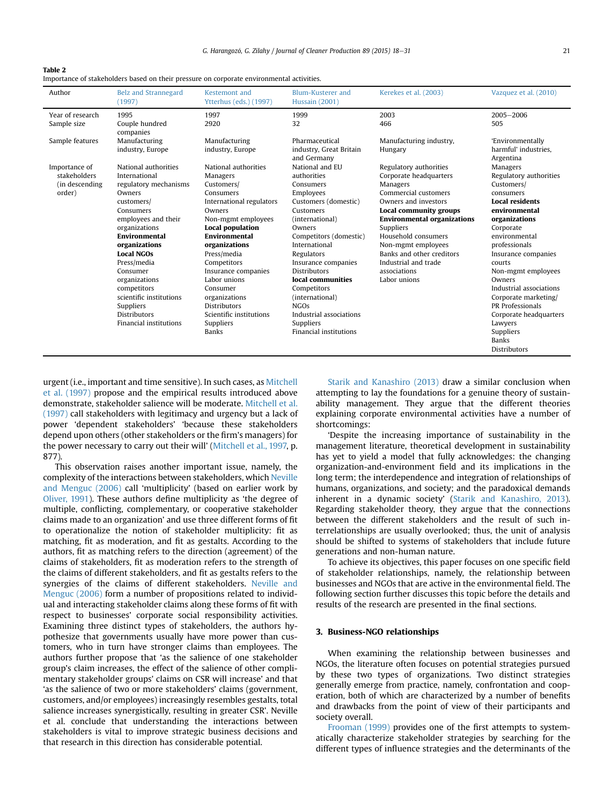<span id="page-4-0"></span>

| Table 2                                                                                   |
|-------------------------------------------------------------------------------------------|
| Importance of stakeholders based on their pressure on corporate environmental activities. |

| Author                                                     | <b>Belz and Strannegard</b><br>(1997)                                                                                                                                                                                                                                                                                                                         | Kestemont and<br>Ytterhus (eds.) (1997)                                                                                                                                                                                                                                                                                                                               | Blum-Kusterer and<br><b>Hussain</b> (2001)                                                                                                                                                                                                                                                                                                                                | Kerekes et al. (2003)                                                                                                                                                                                                                                                                                                       | Vazquez et al. (2010)                                                                                                                                                                                                                                                                                                                                                              |
|------------------------------------------------------------|---------------------------------------------------------------------------------------------------------------------------------------------------------------------------------------------------------------------------------------------------------------------------------------------------------------------------------------------------------------|-----------------------------------------------------------------------------------------------------------------------------------------------------------------------------------------------------------------------------------------------------------------------------------------------------------------------------------------------------------------------|---------------------------------------------------------------------------------------------------------------------------------------------------------------------------------------------------------------------------------------------------------------------------------------------------------------------------------------------------------------------------|-----------------------------------------------------------------------------------------------------------------------------------------------------------------------------------------------------------------------------------------------------------------------------------------------------------------------------|------------------------------------------------------------------------------------------------------------------------------------------------------------------------------------------------------------------------------------------------------------------------------------------------------------------------------------------------------------------------------------|
| Year of research                                           | 1995                                                                                                                                                                                                                                                                                                                                                          | 1997                                                                                                                                                                                                                                                                                                                                                                  | 1999                                                                                                                                                                                                                                                                                                                                                                      | 2003                                                                                                                                                                                                                                                                                                                        | 2005-2006                                                                                                                                                                                                                                                                                                                                                                          |
| Sample size                                                | Couple hundred<br>companies                                                                                                                                                                                                                                                                                                                                   | 2920                                                                                                                                                                                                                                                                                                                                                                  | 32                                                                                                                                                                                                                                                                                                                                                                        | 466                                                                                                                                                                                                                                                                                                                         | 505                                                                                                                                                                                                                                                                                                                                                                                |
| Sample features                                            | Manufacturing<br>industry, Europe                                                                                                                                                                                                                                                                                                                             | Manufacturing<br>industry, Europe                                                                                                                                                                                                                                                                                                                                     | Pharmaceutical<br>industry, Great Britain<br>and Germany                                                                                                                                                                                                                                                                                                                  | Manufacturing industry,<br>Hungary                                                                                                                                                                                                                                                                                          | 'Environmentally<br>harmful' industries.<br>Argentina                                                                                                                                                                                                                                                                                                                              |
| Importance of<br>stakeholders<br>(in descending)<br>order) | National authorities<br>International<br>regulatory mechanisms<br>Owners<br>customers/<br>Consumers<br>employees and their<br>organizations<br><b>Environmental</b><br>organizations<br><b>Local NGOs</b><br>Press/media<br>Consumer<br>organizations<br>competitors<br>scientific institutions<br>Suppliers<br><b>Distributors</b><br>Financial institutions | National authorities<br>Managers<br>Customers/<br>Consumers<br>International regulators<br>Owners<br>Non-mgmt employees<br>Local population<br><b>Environmental</b><br>organizations<br>Press/media<br>Competitors<br>Insurance companies<br>Labor unions<br>Consumer<br>organizations<br><b>Distributors</b><br>Scientific institutions<br>Suppliers<br><b>Banks</b> | National and EU<br>authorities<br>Consumers<br>Employees<br>Customers (domestic)<br>Customers<br>(international)<br>Owners<br>Competitors (domestic)<br>International<br>Regulators<br>Insurance companies<br><b>Distributors</b><br>local communities<br>Competitors<br>(international)<br><b>NGOs</b><br>Industrial associations<br>Suppliers<br>Financial institutions | Regulatory authorities<br>Corporate headquarters<br>Managers<br>Commercial customers<br>Owners and investors<br>Local community groups<br><b>Environmental organizations</b><br>Suppliers<br>Household consumers<br>Non-mgmt employees<br>Banks and other creditors<br>Industrial and trade<br>associations<br>Labor unions | Managers<br>Regulatory authorities<br>Customers/<br>consumers<br><b>Local residents</b><br>environmental<br>organizations<br>Corporate<br>environmental<br>professionals<br>Insurance companies<br>courts<br>Non-mgmt employees<br>Owners<br>Industrial associations<br>Corporate marketing/<br>PR Professionals<br>Corporate headquarters<br>Lawyers<br>Suppliers<br><b>Banks</b> |

urgent (i.e., important and time sensitive). In such cases, as [Mitchell](#page-13-0) [et al. \(1997\)](#page-13-0) propose and the empirical results introduced above demonstrate, stakeholder salience will be moderate. [Mitchell et al.](#page-13-0) [\(1997\)](#page-13-0) call stakeholders with legitimacy and urgency but a lack of power 'dependent stakeholders' 'because these stakeholders depend upon others (other stakeholders or the firm's managers) for the power necessary to carry out their will' [\(Mitchell et al., 1997,](#page-13-0) p. 877).

This observation raises another important issue, namely, the complexity of the interactions between stakeholders, which [Neville](#page-13-0) [and Menguc \(2006\)](#page-13-0) call 'multiplicity' (based on earlier work by [Oliver, 1991\)](#page-13-0). These authors define multiplicity as 'the degree of multiple, conflicting, complementary, or cooperative stakeholder claims made to an organization' and use three different forms of fit to operationalize the notion of stakeholder multiplicity: fit as matching, fit as moderation, and fit as gestalts. According to the authors, fit as matching refers to the direction (agreement) of the claims of stakeholders, fit as moderation refers to the strength of the claims of different stakeholders, and fit as gestalts refers to the synergies of the claims of different stakeholders. [Neville and](#page-13-0) [Menguc \(2006\)](#page-13-0) form a number of propositions related to individual and interacting stakeholder claims along these forms of fit with respect to businesses' corporate social responsibility activities. Examining three distinct types of stakeholders, the authors hypothesize that governments usually have more power than customers, who in turn have stronger claims than employees. The authors further propose that 'as the salience of one stakeholder group's claim increases, the effect of the salience of other complimentary stakeholder groups' claims on CSR will increase' and that 'as the salience of two or more stakeholders' claims (government, customers, and/or employees) increasingly resembles gestalts, total salience increases synergistically, resulting in greater CSR'. Neville et al. conclude that understanding the interactions between stakeholders is vital to improve strategic business decisions and that research in this direction has considerable potential.

[Starik and Kanashiro \(2013\)](#page-13-0) draw a similar conclusion when attempting to lay the foundations for a genuine theory of sustainability management. They argue that the different theories explaining corporate environmental activities have a number of shortcomings:

'Despite the increasing importance of sustainability in the management literature, theoretical development in sustainability has yet to yield a model that fully acknowledges: the changing organization-and-environment field and its implications in the long term; the interdependence and integration of relationships of humans, organizations, and society; and the paradoxical demands inherent in a dynamic society' [\(Starik and Kanashiro, 2013\)](#page-13-0). Regarding stakeholder theory, they argue that the connections between the different stakeholders and the result of such interrelationships are usually overlooked; thus, the unit of analysis should be shifted to systems of stakeholders that include future generations and non-human nature.

To achieve its objectives, this paper focuses on one specific field of stakeholder relationships, namely, the relationship between businesses and NGOs that are active in the environmental field. The following section further discusses this topic before the details and results of the research are presented in the final sections.

## 3. Business-NGO relationships

When examining the relationship between businesses and NGOs, the literature often focuses on potential strategies pursued by these two types of organizations. Two distinct strategies generally emerge from practice, namely, confrontation and cooperation, both of which are characterized by a number of benefits and drawbacks from the point of view of their participants and society overall.

[Frooman \(1999\)](#page-13-0) provides one of the first attempts to systematically characterize stakeholder strategies by searching for the different types of influence strategies and the determinants of the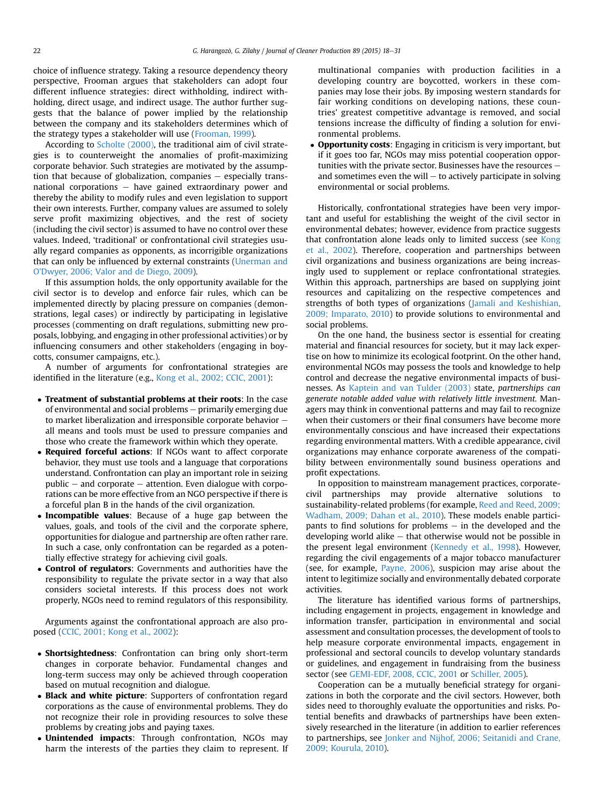choice of influence strategy. Taking a resource dependency theory perspective, Frooman argues that stakeholders can adopt four different influence strategies: direct withholding, indirect withholding, direct usage, and indirect usage. The author further suggests that the balance of power implied by the relationship between the company and its stakeholders determines which of the strategy types a stakeholder will use [\(Frooman, 1999\)](#page-13-0).

According to [Scholte \(2000\),](#page-13-0) the traditional aim of civil strategies is to counterweight the anomalies of profit-maximizing corporate behavior. Such strategies are motivated by the assumption that because of globalization, companies  $-$  especially transnational corporations  $-$  have gained extraordinary power and thereby the ability to modify rules and even legislation to support their own interests. Further, company values are assumed to solely serve profit maximizing objectives, and the rest of society (including the civil sector) is assumed to have no control over these values. Indeed, 'traditional' or confrontational civil strategies usually regard companies as opponents, as incorrigible organizations that can only be influenced by external constraints ([Unerman and](#page-14-0) [O'Dwyer, 2006; Valor and de Diego, 2009](#page-14-0)).

If this assumption holds, the only opportunity available for the civil sector is to develop and enforce fair rules, which can be implemented directly by placing pressure on companies (demonstrations, legal cases) or indirectly by participating in legislative processes (commenting on draft regulations, submitting new proposals, lobbying, and engaging in other professional activities) or by influencing consumers and other stakeholders (engaging in boycotts, consumer campaigns, etc.).

A number of arguments for confrontational strategies are identified in the literature (e.g., [Kong et al., 2002; CCIC, 2001\)](#page-13-0):

- Treatment of substantial problems at their roots: In the case of environmental and social problems - primarily emerging due to market liberalization and irresponsible corporate behavior  $$ all means and tools must be used to pressure companies and those who create the framework within which they operate.
- Required forceful actions: If NGOs want to affect corporate behavior, they must use tools and a language that corporations understand. Confrontation can play an important role in seizing public  $-$  and corporate  $-$  attention. Even dialogue with corporations can be more effective from an NGO perspective if there is a forceful plan B in the hands of the civil organization.
- Incompatible values: Because of a huge gap between the values, goals, and tools of the civil and the corporate sphere, opportunities for dialogue and partnership are often rather rare. In such a case, only confrontation can be regarded as a potentially effective strategy for achieving civil goals.
- **Control of regulators**: Governments and authorities have the responsibility to regulate the private sector in a way that also considers societal interests. If this process does not work properly, NGOs need to remind regulators of this responsibility.

Arguments against the confrontational approach are also proposed ([CCIC, 2001; Kong et al., 2002](#page-13-0)):

- Shortsightedness: Confrontation can bring only short-term changes in corporate behavior. Fundamental changes and long-term success may only be achieved through cooperation based on mutual recognition and dialogue.
- Black and white picture: Supporters of confrontation regard corporations as the cause of environmental problems. They do not recognize their role in providing resources to solve these problems by creating jobs and paying taxes.
- Unintended impacts: Through confrontation, NGOs may harm the interests of the parties they claim to represent. If

multinational companies with production facilities in a developing country are boycotted, workers in these companies may lose their jobs. By imposing western standards for fair working conditions on developing nations, these countries' greatest competitive advantage is removed, and social tensions increase the difficulty of finding a solution for environmental problems.

- Opportunity costs: Engaging in criticism is very important, but if it goes too far, NGOs may miss potential cooperation opportunities with the private sector. Businesses have the resources  $$ and sometimes even the will  $-$  to actively participate in solving environmental or social problems.

Historically, confrontational strategies have been very important and useful for establishing the weight of the civil sector in environmental debates; however, evidence from practice suggests that confrontation alone leads only to limited success (see [Kong](#page-13-0) [et al., 2002\)](#page-13-0). Therefore, cooperation and partnerships between civil organizations and business organizations are being increasingly used to supplement or replace confrontational strategies. Within this approach, partnerships are based on supplying joint resources and capitalizing on the respective competences and strengths of both types of organizations [\(Jamali and Keshishian,](#page-13-0) [2009; Imparato, 2010](#page-13-0)) to provide solutions to environmental and social problems.

On the one hand, the business sector is essential for creating material and financial resources for society, but it may lack expertise on how to minimize its ecological footprint. On the other hand, environmental NGOs may possess the tools and knowledge to help control and decrease the negative environmental impacts of businesses. As [Kaptein and van Tulder \(2003\)](#page-13-0) state, partnerships can generate notable added value with relatively little investment. Managers may think in conventional patterns and may fail to recognize when their customers or their final consumers have become more environmentally conscious and have increased their expectations regarding environmental matters. With a credible appearance, civil organizations may enhance corporate awareness of the compatibility between environmentally sound business operations and profit expectations.

In opposition to mainstream management practices, corporatecivil partnerships may provide alternative solutions to sustainability-related problems (for example, [Reed and Reed, 2009;](#page-13-0) [Wadham, 2009; Dahan et al., 2010\)](#page-13-0). These models enable participants to find solutions for problems  $-$  in the developed and the developing world alike  $-$  that otherwise would not be possible in the present legal environment [\(Kennedy et al., 1998](#page-13-0)). However, regarding the civil engagements of a major tobacco manufacturer (see, for example, [Payne, 2006\)](#page-13-0), suspicion may arise about the intent to legitimize socially and environmentally debated corporate activities.

The literature has identified various forms of partnerships, including engagement in projects, engagement in knowledge and information transfer, participation in environmental and social assessment and consultation processes, the development of tools to help measure corporate environmental impacts, engagement in professional and sectoral councils to develop voluntary standards or guidelines, and engagement in fundraising from the business sector (see [GEMI-EDF, 2008, CCIC, 2001](#page-13-0) or [Schiller, 2005\)](#page-13-0).

Cooperation can be a mutually beneficial strategy for organizations in both the corporate and the civil sectors. However, both sides need to thoroughly evaluate the opportunities and risks. Potential benefits and drawbacks of partnerships have been extensively researched in the literature (in addition to earlier references to partnerships, see [Jonker and Nijhof, 2006; Seitanidi and Crane,](#page-13-0) [2009; Kourula, 2010\)](#page-13-0).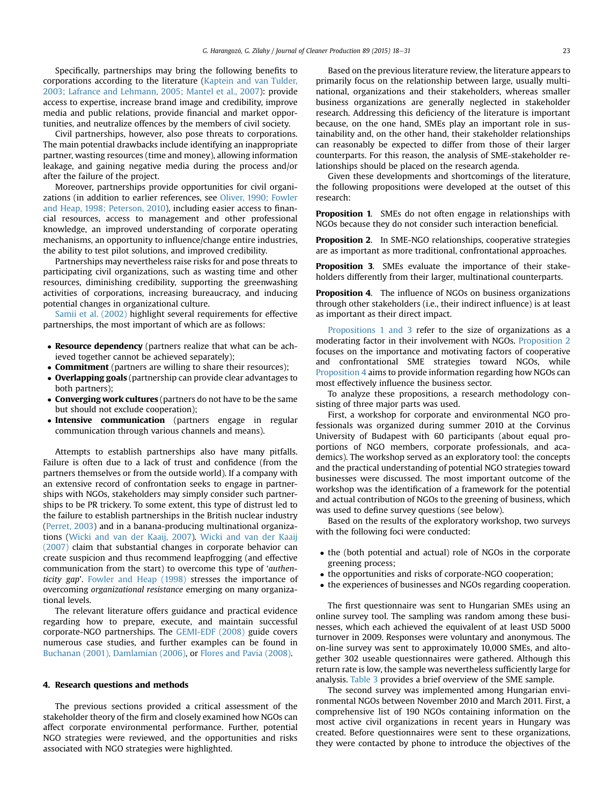<span id="page-6-0"></span>Specifically, partnerships may bring the following benefits to corporations according to the literature [\(Kaptein and van Tulder,](#page-13-0) [2003; Lafrance and Lehmann, 2005; Mantel et al., 2007\)](#page-13-0): provide access to expertise, increase brand image and credibility, improve media and public relations, provide financial and market opportunities, and neutralize offences by the members of civil society.

Civil partnerships, however, also pose threats to corporations. The main potential drawbacks include identifying an inappropriate partner, wasting resources (time and money), allowing information leakage, and gaining negative media during the process and/or after the failure of the project.

Moreover, partnerships provide opportunities for civil organizations (in addition to earlier references, see [Oliver, 1990; Fowler](#page-13-0) [and Heap, 1998; Peterson, 2010](#page-13-0)), including easier access to financial resources, access to management and other professional knowledge, an improved understanding of corporate operating mechanisms, an opportunity to influence/change entire industries, the ability to test pilot solutions, and improved credibility.

Partnerships may nevertheless raise risks for and pose threats to participating civil organizations, such as wasting time and other resources, diminishing credibility, supporting the greenwashing activities of corporations, increasing bureaucracy, and inducing potential changes in organizational culture.

[Samii et al. \(2002\)](#page-13-0) highlight several requirements for effective partnerships, the most important of which are as follows:

- Resource dependency (partners realize that what can be achieved together cannot be achieved separately);
- **Commitment** (partners are willing to share their resources);
- Overlapping goals (partnership can provide clear advantages to both partners);
- Converging work cultures (partners do not have to be the same but should not exclude cooperation);
- Intensive communication (partners engage in regular communication through various channels and means).

Attempts to establish partnerships also have many pitfalls. Failure is often due to a lack of trust and confidence (from the partners themselves or from the outside world). If a company with an extensive record of confrontation seeks to engage in partnerships with NGOs, stakeholders may simply consider such partnerships to be PR trickery. To some extent, this type of distrust led to the failure to establish partnerships in the British nuclear industry ([Perret, 2003](#page-13-0)) and in a banana-producing multinational organizations [\(Wicki and van der Kaaij, 2007\)](#page-14-0). [Wicki and van der Kaaij](#page-14-0) [\(2007\)](#page-14-0) claim that substantial changes in corporate behavior can create suspicion and thus recommend leapfrogging (and effective communication from the start) to overcome this type of 'authenticity gap'. [Fowler and Heap \(1998\)](#page-13-0) stresses the importance of overcoming organizational resistance emerging on many organizational levels.

The relevant literature offers guidance and practical evidence regarding how to prepare, execute, and maintain successful corporate-NGO partnerships. The [GEMI-EDF \(2008\)](#page-13-0) guide covers numerous case studies, and further examples can be found in [Buchanan \(2001\), Damlamian \(2006\),](#page-13-0) or [Flores and Pavia \(2008\).](#page-13-0)

## 4. Research questions and methods

The previous sections provided a critical assessment of the stakeholder theory of the firm and closely examined how NGOs can affect corporate environmental performance. Further, potential NGO strategies were reviewed, and the opportunities and risks associated with NGO strategies were highlighted.

Based on the previous literature review, the literature appears to primarily focus on the relationship between large, usually multinational, organizations and their stakeholders, whereas smaller business organizations are generally neglected in stakeholder research. Addressing this deficiency of the literature is important because, on the one hand, SMEs play an important role in sustainability and, on the other hand, their stakeholder relationships can reasonably be expected to differ from those of their larger counterparts. For this reason, the analysis of SME-stakeholder relationships should be placed on the research agenda.

Given these developments and shortcomings of the literature, the following propositions were developed at the outset of this research:

**Proposition 1.** SMEs do not often engage in relationships with NGOs because they do not consider such interaction beneficial.

Proposition 2. In SME-NGO relationships, cooperative strategies are as important as more traditional, confrontational approaches.

Proposition 3. SMEs evaluate the importance of their stakeholders differently from their larger, multinational counterparts.

Proposition 4. The influence of NGOs on business organizations through other stakeholders (i.e., their indirect influence) is at least as important as their direct impact.

Propositions 1 and 3 refer to the size of organizations as a moderating factor in their involvement with NGOs. Proposition 2 focuses on the importance and motivating factors of cooperative and confrontational SME strategies toward NGOs, while Proposition 4 aims to provide information regarding how NGOs can most effectively influence the business sector.

To analyze these propositions, a research methodology consisting of three major parts was used.

First, a workshop for corporate and environmental NGO professionals was organized during summer 2010 at the Corvinus University of Budapest with 60 participants (about equal proportions of NGO members, corporate professionals, and academics). The workshop served as an exploratory tool: the concepts and the practical understanding of potential NGO strategies toward businesses were discussed. The most important outcome of the workshop was the identification of a framework for the potential and actual contribution of NGOs to the greening of business, which was used to define survey questions (see below).

Based on the results of the exploratory workshop, two surveys with the following foci were conducted:

- the (both potential and actual) role of NGOs in the corporate greening process;
- the opportunities and risks of corporate-NGO cooperation;
- the experiences of businesses and NGOs regarding cooperation.

The first questionnaire was sent to Hungarian SMEs using an online survey tool. The sampling was random among these businesses, which each achieved the equivalent of at least USD 5000 turnover in 2009. Responses were voluntary and anonymous. The on-line survey was sent to approximately 10,000 SMEs, and altogether 302 useable questionnaires were gathered. Although this return rate is low, the sample was nevertheless sufficiently large for analysis. [Table 3](#page-7-0) provides a brief overview of the SME sample.

The second survey was implemented among Hungarian environmental NGOs between November 2010 and March 2011. First, a comprehensive list of 190 NGOs containing information on the most active civil organizations in recent years in Hungary was created. Before questionnaires were sent to these organizations, they were contacted by phone to introduce the objectives of the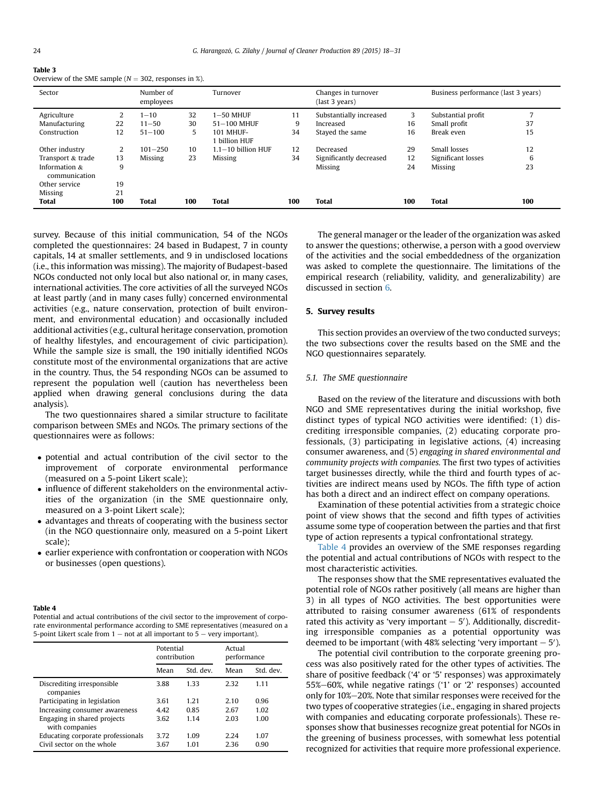<span id="page-7-0"></span>

| Table 3                                                   |  |
|-----------------------------------------------------------|--|
| Overview of the SME sample ( $N = 302$ , responses in %). |  |

| Sector                            |     | Number of<br>employees |     | Turnover                 |     | Changes in turnover<br>(last 3 years) |     | Business performance (last 3 years) |     |
|-----------------------------------|-----|------------------------|-----|--------------------------|-----|---------------------------------------|-----|-------------------------------------|-----|
| Agriculture                       | 2   | $1 - 10$               | 32  | $1-50$ MHUF              | 11  | Substantially increased               | 3   | Substantial profit                  |     |
| Manufacturing                     | 22  | $11 - 50$              | 30  | $51-100$ MHUF            | 9   | Increased                             | 16  | Small profit                        | 37  |
| Construction                      | 12  | $51 - 100$             | 5.  | 101 MHUF-<br>billion HUF | 34  | Staved the same                       | 16  | Break even                          | 15  |
| Other industry                    | 2   | $101 - 250$            | 10  | $1.1 - 10$ billion HUF   | 12  | Decreased                             | 29  | Small losses                        | 12  |
| Transport & trade                 | 13  | Missing                | 23  | <b>Missing</b>           | 34  | Significantly decreased               | 12  | Significant losses                  | 6   |
| Information $\&$<br>communication | 9   |                        |     |                          |     | Missing                               | 24  | <b>Missing</b>                      | 23  |
| Other service                     | 19  |                        |     |                          |     |                                       |     |                                     |     |
| Missing                           | 21  |                        |     |                          |     |                                       |     |                                     |     |
| <b>Total</b>                      | 100 | <b>Total</b>           | 100 | <b>Total</b>             | 100 | <b>Total</b>                          | 100 | <b>Total</b>                        | 100 |

survey. Because of this initial communication, 54 of the NGOs completed the questionnaires: 24 based in Budapest, 7 in county capitals, 14 at smaller settlements, and 9 in undisclosed locations (i.e., this information was missing). The majority of Budapest-based NGOs conducted not only local but also national or, in many cases, international activities. The core activities of all the surveyed NGOs at least partly (and in many cases fully) concerned environmental activities (e.g., nature conservation, protection of built environment, and environmental education) and occasionally included additional activities (e.g., cultural heritage conservation, promotion of healthy lifestyles, and encouragement of civic participation). While the sample size is small, the 190 initially identified NGOs constitute most of the environmental organizations that are active in the country. Thus, the 54 responding NGOs can be assumed to represent the population well (caution has nevertheless been applied when drawing general conclusions during the data analysis).

The two questionnaires shared a similar structure to facilitate comparison between SMEs and NGOs. The primary sections of the questionnaires were as follows:

- potential and actual contribution of the civil sector to the improvement of corporate environmental performance (measured on a 5-point Likert scale);
- influence of different stakeholders on the environmental activities of the organization (in the SME questionnaire only, measured on a 3-point Likert scale);
- advantages and threats of cooperating with the business sector (in the NGO questionnaire only, measured on a 5-point Likert scale);
- earlier experience with confrontation or cooperation with NGOs or businesses (open questions).

#### Table 4

Potential and actual contributions of the civil sector to the improvement of corporate environmental performance according to SME representatives (measured on a 5-point Likert scale from  $1 -$  not at all important to  $5 -$  very important).

|                                               | Potential<br>contribution |           | Actual<br>performance |           |
|-----------------------------------------------|---------------------------|-----------|-----------------------|-----------|
|                                               | Mean                      | Std. dev. | Mean                  | Std. dev. |
| Discrediting irresponsible<br>companies       | 3.88                      | 133       | 2.32                  | 1.11      |
| Participating in legislation                  | 3.61                      | 1 21      | 2.10                  | 0.96      |
| Increasing consumer awareness                 | 4.42                      | 0.85      | 2.67                  | 1.02      |
| Engaging in shared projects<br>with companies | 3.62                      | 1 1 4     | 2.03                  | 1.00      |
| Educating corporate professionals             | 3.72                      | 1.09      | 2.24                  | 1.07      |
| Civil sector on the whole                     | 3.67                      | 1.01      | 2.36                  | 0.90      |

The general manager or the leader of the organization was asked to answer the questions; otherwise, a person with a good overview of the activities and the social embeddedness of the organization was asked to complete the questionnaire. The limitations of the empirical research (reliability, validity, and generalizability) are discussed in section [6.](#page-10-0)

## 5. Survey results

This section provides an overview of the two conducted surveys; the two subsections cover the results based on the SME and the NGO questionnaires separately.

## 5.1. The SME questionnaire

Based on the review of the literature and discussions with both NGO and SME representatives during the initial workshop, five distinct types of typical NGO activities were identified: (1) discrediting irresponsible companies, (2) educating corporate professionals, (3) participating in legislative actions, (4) increasing consumer awareness, and (5) engaging in shared environmental and community projects with companies. The first two types of activities target businesses directly, while the third and fourth types of activities are indirect means used by NGOs. The fifth type of action has both a direct and an indirect effect on company operations.

Examination of these potential activities from a strategic choice point of view shows that the second and fifth types of activities assume some type of cooperation between the parties and that first type of action represents a typical confrontational strategy.

Table 4 provides an overview of the SME responses regarding the potential and actual contributions of NGOs with respect to the most characteristic activities.

The responses show that the SME representatives evaluated the potential role of NGOs rather positively (all means are higher than 3) in all types of NGO activities. The best opportunities were attributed to raising consumer awareness (61% of respondents rated this activity as 'very important  $-5'$ ). Additionally, discrediting irresponsible companies as a potential opportunity was deemed to be important (with 48% selecting 'very important  $-5'$ ).

The potential civil contribution to the corporate greening process was also positively rated for the other types of activities. The share of positive feedback ('4' or '5' responses) was approximately 55%-60%, while negative ratings ('1' or '2' responses) accounted only for 10%-20%. Note that similar responses were received for the two types of cooperative strategies (i.e., engaging in shared projects with companies and educating corporate professionals). These responses show that businesses recognize great potential for NGOs in the greening of business processes, with somewhat less potential recognized for activities that require more professional experience.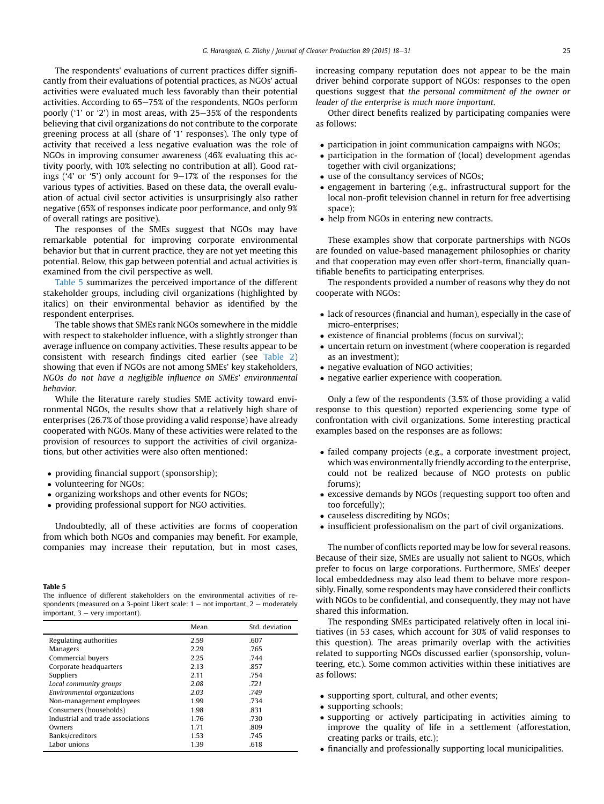<span id="page-8-0"></span>The respondents' evaluations of current practices differ significantly from their evaluations of potential practices, as NGOs' actual activities were evaluated much less favorably than their potential activities. According to 65-75% of the respondents, NGOs perform poorly ('1' or '2') in most areas, with  $25-35\%$  of the respondents believing that civil organizations do not contribute to the corporate greening process at all (share of '1' responses). The only type of activity that received a less negative evaluation was the role of NGOs in improving consumer awareness (46% evaluating this activity poorly, with 10% selecting no contribution at all). Good ratings ('4' or '5') only account for  $9-17\%$  of the responses for the various types of activities. Based on these data, the overall evaluation of actual civil sector activities is unsurprisingly also rather negative (65% of responses indicate poor performance, and only 9% of overall ratings are positive).

The responses of the SMEs suggest that NGOs may have remarkable potential for improving corporate environmental behavior but that in current practice, they are not yet meeting this potential. Below, this gap between potential and actual activities is examined from the civil perspective as well.

Table 5 summarizes the perceived importance of the different stakeholder groups, including civil organizations (highlighted by italics) on their environmental behavior as identified by the respondent enterprises.

The table shows that SMEs rank NGOs somewhere in the middle with respect to stakeholder influence, with a slightly stronger than average influence on company activities. These results appear to be consistent with research findings cited earlier (see [Table 2\)](#page-4-0) showing that even if NGOs are not among SMEs' key stakeholders, NGOs do not have a negligible influence on SMEs' environmental behavior.

While the literature rarely studies SME activity toward environmental NGOs, the results show that a relatively high share of enterprises (26.7% of those providing a valid response) have already cooperated with NGOs. Many of these activities were related to the provision of resources to support the activities of civil organizations, but other activities were also often mentioned:

- providing financial support (sponsorship);
- volunteering for NGOs;
- organizing workshops and other events for NGOs;
- providing professional support for NGO activities.

Undoubtedly, all of these activities are forms of cooperation from which both NGOs and companies may benefit. For example, companies may increase their reputation, but in most cases,

## Table 5

The influence of different stakeholders on the environmental activities of respondents (measured on a 3-point Likert scale:  $1 - not important$ ,  $2 - moderately$ important,  $3 -$  very important).

|                                   | Mean | Std. deviation |
|-----------------------------------|------|----------------|
| Regulating authorities            | 2.59 | .607           |
| Managers                          | 2.29 | .765           |
| Commercial buyers                 | 2.25 | .744           |
| Corporate headquarters            | 2.13 | .857           |
| Suppliers                         | 2.11 | .754           |
| Local community groups            | 2.08 | .721           |
| Environmental organizations       | 2.03 | .749           |
| Non-management employees          | 1.99 | .734           |
| Consumers (households)            | 1.98 | .831           |
| Industrial and trade associations | 1.76 | .730           |
| Owners                            | 1.71 | .809           |
| Banks/creditors                   | 1.53 | .745           |
| Labor unions                      | 1.39 | .618           |

increasing company reputation does not appear to be the main driver behind corporate support of NGOs: responses to the open questions suggest that the personal commitment of the owner or leader of the enterprise is much more important.

Other direct benefits realized by participating companies were as follows:

- participation in joint communication campaigns with NGOs;
- participation in the formation of (local) development agendas together with civil organizations;
- use of the consultancy services of NGOs;
- engagement in bartering (e.g., infrastructural support for the local non-profit television channel in return for free advertising space);
- help from NGOs in entering new contracts.

These examples show that corporate partnerships with NGOs are founded on value-based management philosophies or charity and that cooperation may even offer short-term, financially quantifiable benefits to participating enterprises.

The respondents provided a number of reasons why they do not cooperate with NGOs:

- lack of resources (financial and human), especially in the case of micro-enterprises;
- existence of financial problems (focus on survival);
- uncertain return on investment (where cooperation is regarded as an investment);
- negative evaluation of NGO activities;
- negative earlier experience with cooperation.

Only a few of the respondents (3.5% of those providing a valid response to this question) reported experiencing some type of confrontation with civil organizations. Some interesting practical examples based on the responses are as follows:

- failed company projects (e.g., a corporate investment project, which was environmentally friendly according to the enterprise, could not be realized because of NGO protests on public forums);
- excessive demands by NGOs (requesting support too often and too forcefully);
- causeless discrediting by NGOs;
- insufficient professionalism on the part of civil organizations.

The number of conflicts reported may be low for several reasons. Because of their size, SMEs are usually not salient to NGOs, which prefer to focus on large corporations. Furthermore, SMEs' deeper local embeddedness may also lead them to behave more responsibly. Finally, some respondents may have considered their conflicts with NGOs to be confidential, and consequently, they may not have shared this information.

The responding SMEs participated relatively often in local initiatives (in 53 cases, which account for 30% of valid responses to this question). The areas primarily overlap with the activities related to supporting NGOs discussed earlier (sponsorship, volunteering, etc.). Some common activities within these initiatives are as follows:

- supporting sport, cultural, and other events;
- supporting schools;
- supporting or actively participating in activities aiming to improve the quality of life in a settlement (afforestation, creating parks or trails, etc.);
- financially and professionally supporting local municipalities.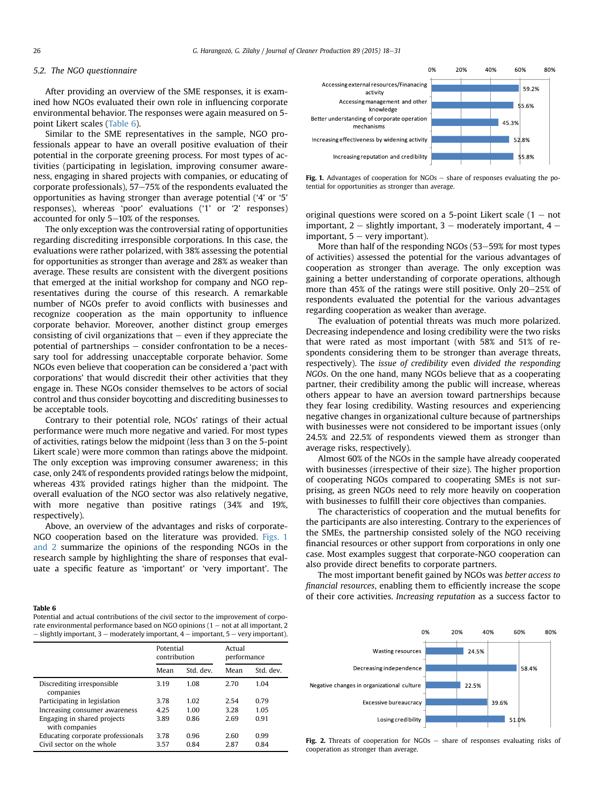## <span id="page-9-0"></span>5.2. The NGO questionnaire

After providing an overview of the SME responses, it is examined how NGOs evaluated their own role in influencing corporate environmental behavior. The responses were again measured on 5 point Likert scales (Table 6).

Similar to the SME representatives in the sample, NGO professionals appear to have an overall positive evaluation of their potential in the corporate greening process. For most types of activities (participating in legislation, improving consumer awareness, engaging in shared projects with companies, or educating of corporate professionals),  $57-75%$  of the respondents evaluated the opportunities as having stronger than average potential ('4' or '5' responses), whereas 'poor' evaluations ('1' or '2' responses) accounted for only  $5-10\%$  of the responses.

The only exception was the controversial rating of opportunities regarding discrediting irresponsible corporations. In this case, the evaluations were rather polarized, with 38% assessing the potential for opportunities as stronger than average and 28% as weaker than average. These results are consistent with the divergent positions that emerged at the initial workshop for company and NGO representatives during the course of this research. A remarkable number of NGOs prefer to avoid conflicts with businesses and recognize cooperation as the main opportunity to influence corporate behavior. Moreover, another distinct group emerges consisting of civil organizations that  $-$  even if they appreciate the potential of partnerships  $-$  consider confrontation to be a necessary tool for addressing unacceptable corporate behavior. Some NGOs even believe that cooperation can be considered a 'pact with corporations' that would discredit their other activities that they engage in. These NGOs consider themselves to be actors of social control and thus consider boycotting and discrediting businesses to be acceptable tools.

Contrary to their potential role, NGOs' ratings of their actual performance were much more negative and varied. For most types of activities, ratings below the midpoint (less than 3 on the 5-point Likert scale) were more common than ratings above the midpoint. The only exception was improving consumer awareness; in this case, only 24% of respondents provided ratings below the midpoint, whereas 43% provided ratings higher than the midpoint. The overall evaluation of the NGO sector was also relatively negative, with more negative than positive ratings (34% and 19%, respectively).

Above, an overview of the advantages and risks of corporate-NGO cooperation based on the literature was provided. Figs. 1 and 2 summarize the opinions of the responding NGOs in the research sample by highlighting the share of responses that evaluate a specific feature as 'important' or 'very important'. The

#### Table 6

Potential and actual contributions of the civil sector to the improvement of corporate environmental performance based on NGO opinions  $(1 - \text{not at all important})$  $-$  slightly important, 3  $-$  moderately important, 4  $-$  important, 5  $-$  very important).

|                                               | Potential<br>contribution |           | Actual<br>performance |           |
|-----------------------------------------------|---------------------------|-----------|-----------------------|-----------|
|                                               | Mean                      | Std. dev. | Mean                  | Std. dev. |
| Discrediting irresponsible<br>companies       | 3.19                      | 1.08      | 2.70                  | 1.04      |
| Participating in legislation                  | 3.78                      | 1.02      | 2.54                  | 0.79      |
| Increasing consumer awareness                 | 4.25                      | 1.00      | 3.28                  | 1.05      |
| Engaging in shared projects<br>with companies | 3.89                      | 0.86      | 2.69                  | 0.91      |
| Educating corporate professionals             | 3.78                      | 0.96      | 2.60                  | 0.99      |
| Civil sector on the whole                     | 3.57                      | 0.84      | 2.87                  | 0.84      |



Fig. 1. Advantages of cooperation for  $NGOs - share$  of responses evaluating the potential for opportunities as stronger than average.

original questions were scored on a 5-point Likert scale  $(1 - not)$ important,  $2 -$  slightly important,  $3 -$  moderately important,  $4$ important,  $5 - \text{very important}$ .

More than half of the responding NGOs  $(53-59%$  for most types of activities) assessed the potential for the various advantages of cooperation as stronger than average. The only exception was gaining a better understanding of corporate operations, although more than 45% of the ratings were still positive. Only  $20-25%$  of respondents evaluated the potential for the various advantages regarding cooperation as weaker than average.

The evaluation of potential threats was much more polarized. Decreasing independence and losing credibility were the two risks that were rated as most important (with 58% and 51% of respondents considering them to be stronger than average threats, respectively). The issue of credibility even divided the responding NGOs. On the one hand, many NGOs believe that as a cooperating partner, their credibility among the public will increase, whereas others appear to have an aversion toward partnerships because they fear losing credibility. Wasting resources and experiencing negative changes in organizational culture because of partnerships with businesses were not considered to be important issues (only 24.5% and 22.5% of respondents viewed them as stronger than average risks, respectively).

Almost 60% of the NGOs in the sample have already cooperated with businesses (irrespective of their size). The higher proportion of cooperating NGOs compared to cooperating SMEs is not surprising, as green NGOs need to rely more heavily on cooperation with businesses to fulfill their core objectives than companies.

The characteristics of cooperation and the mutual benefits for the participants are also interesting. Contrary to the experiences of the SMEs, the partnership consisted solely of the NGO receiving financial resources or other support from corporations in only one case. Most examples suggest that corporate-NGO cooperation can also provide direct benefits to corporate partners.

The most important benefit gained by NGOs was better access to financial resources, enabling them to efficiently increase the scope of their core activities. Increasing reputation as a success factor to



Fig. 2. Threats of cooperation for NGOs - share of responses evaluating risks of cooperation as stronger than average.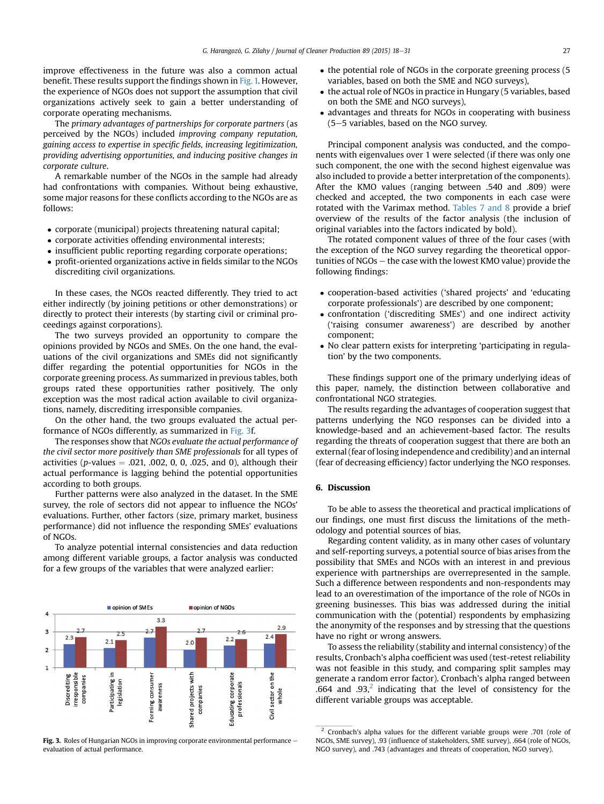<span id="page-10-0"></span>improve effectiveness in the future was also a common actual benefit. These results support the findings shown in [Fig. 1.](#page-9-0) However, the experience of NGOs does not support the assumption that civil organizations actively seek to gain a better understanding of corporate operating mechanisms.

The primary advantages of partnerships for corporate partners (as perceived by the NGOs) included improving company reputation, gaining access to expertise in specific fields, increasing legitimization, providing advertising opportunities, and inducing positive changes in corporate culture.

A remarkable number of the NGOs in the sample had already had confrontations with companies. Without being exhaustive, some major reasons for these conflicts according to the NGOs are as follows:

- corporate (municipal) projects threatening natural capital;
- corporate activities offending environmental interests;
- insufficient public reporting regarding corporate operations;
- profit-oriented organizations active in fields similar to the NGOs discrediting civil organizations.

In these cases, the NGOs reacted differently. They tried to act either indirectly (by joining petitions or other demonstrations) or directly to protect their interests (by starting civil or criminal proceedings against corporations).

The two surveys provided an opportunity to compare the opinions provided by NGOs and SMEs. On the one hand, the evaluations of the civil organizations and SMEs did not significantly differ regarding the potential opportunities for NGOs in the corporate greening process. As summarized in previous tables, both groups rated these opportunities rather positively. The only exception was the most radical action available to civil organizations, namely, discrediting irresponsible companies.

On the other hand, the two groups evaluated the actual performance of NGOs differently, as summarized in Fig. 3f.

The responses show that NGOs evaluate the actual performance of the civil sector more positively than SME professionals for all types of activities ( $p$ -values  $= .021, .002, 0, 0, .025,$  and 0), although their actual performance is lagging behind the potential opportunities according to both groups.

Further patterns were also analyzed in the dataset. In the SME survey, the role of sectors did not appear to influence the NGOs' evaluations. Further, other factors (size, primary market, business performance) did not influence the responding SMEs' evaluations of NGOs.

To analyze potential internal consistencies and data reduction among different variable groups, a factor analysis was conducted for a few groups of the variables that were analyzed earlier:



Fig. 3. Roles of Hungarian NGOs in improving corporate environmental performance evaluation of actual performance.

- the potential role of NGOs in the corporate greening process (5 variables, based on both the SME and NGO surveys),
- the actual role of NGOs in practice in Hungary (5 variables, based on both the SME and NGO surveys),
- advantages and threats for NGOs in cooperating with business  $(5-5$  variables, based on the NGO survey.

Principal component analysis was conducted, and the components with eigenvalues over 1 were selected (if there was only one such component, the one with the second highest eigenvalue was also included to provide a better interpretation of the components). After the KMO values (ranging between .540 and .809) were checked and accepted, the two components in each case were rotated with the Varimax method. [Tables 7 and 8](#page-11-0) provide a brief overview of the results of the factor analysis (the inclusion of original variables into the factors indicated by bold).

The rotated component values of three of the four cases (with the exception of the NGO survey regarding the theoretical opportunities of  $NGOs$  – the case with the lowest KMO value) provide the following findings:

- cooperation-based activities ('shared projects' and 'educating corporate professionals') are described by one component;
- confrontation ('discrediting SMEs') and one indirect activity ('raising consumer awareness') are described by another component;
- No clear pattern exists for interpreting 'participating in regulation' by the two components.

These findings support one of the primary underlying ideas of this paper, namely, the distinction between collaborative and confrontational NGO strategies.

The results regarding the advantages of cooperation suggest that patterns underlying the NGO responses can be divided into a knowledge-based and an achievement-based factor. The results regarding the threats of cooperation suggest that there are both an external (fear of losing independence and credibility) and an internal (fear of decreasing efficiency) factor underlying the NGO responses.

## 6. Discussion

To be able to assess the theoretical and practical implications of our findings, one must first discuss the limitations of the methodology and potential sources of bias.

Regarding content validity, as in many other cases of voluntary and self-reporting surveys, a potential source of bias arises from the possibility that SMEs and NGOs with an interest in and previous experience with partnerships are overrepresented in the sample. Such a difference between respondents and non-respondents may lead to an overestimation of the importance of the role of NGOs in greening businesses. This bias was addressed during the initial communication with the (potential) respondents by emphasizing the anonymity of the responses and by stressing that the questions have no right or wrong answers.

To assess the reliability (stability and internal consistency) of the results, Cronbach's alpha coefficient was used (test-retest reliability was not feasible in this study, and comparing split samples may generate a random error factor). Cronbach's alpha ranged between .664 and .93, $2$  indicating that the level of consistency for the different variable groups was acceptable.

<sup>&</sup>lt;sup>2</sup> Cronbach's alpha values for the different variable groups were .701 (role of NGOs, SME survey), .93 (influence of stakeholders, SME survey), .664 (role of NGOs, NGO survey), and .743 (advantages and threats of cooperation, NGO survey).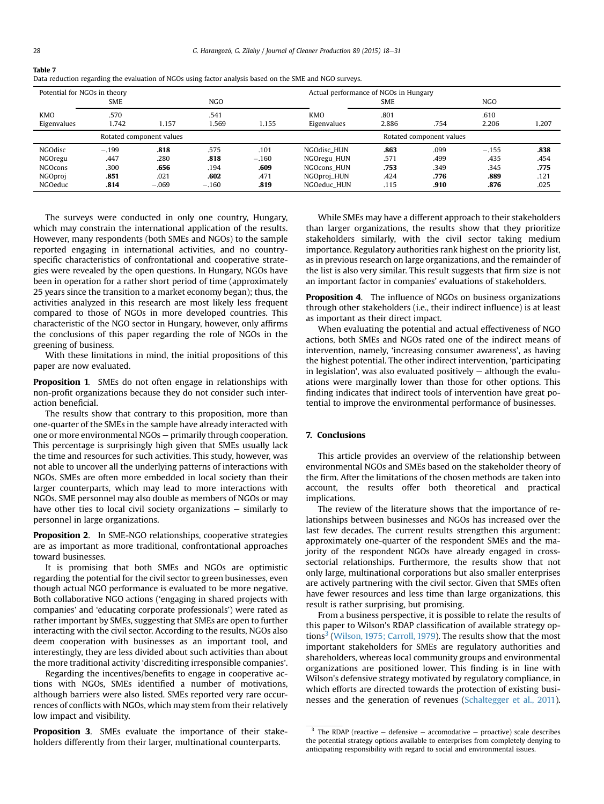| Potential for NGOs in theory |         |                          |         |         | Actual performance of NGOs in Hungary |            |                          |            |       |
|------------------------------|---------|--------------------------|---------|---------|---------------------------------------|------------|--------------------------|------------|-------|
|                              | SME     |                          | NGO.    |         |                                       | <b>SME</b> |                          | <b>NGO</b> |       |
| <b>KMO</b>                   | .570    |                          | .541    |         | <b>KMO</b>                            | .801       |                          | .610       |       |
| Eigenvalues                  | 1.742   | 1.157                    | 1.569   | 1.155   | Eigenvalues                           | 2.886      | .754                     | 2.206      | 1.207 |
|                              |         | Rotated component values |         |         |                                       |            | Rotated component values |            |       |
| <b>NGOdisc</b>               | $-.199$ | .818                     | .575    | .101    | NGOdisc HUN                           | .863       | .099                     | $-.155$    | .838  |
| NGOregu                      | .447    | .280                     | .818    | $-.160$ | NGOregu_HUN                           | .571       | .499                     | .435       | .454  |
| <b>NGOcons</b>               | .300    | .656                     | .194    | .609    | NGOcons HUN                           | .753       | .349                     | .345       | .775  |
| NGOproj                      | .851    | .021                     | .602    | .471    | NGOproj_HUN                           | .424       | .776                     | .889       | .121  |
| NGOeduc                      | .814    | $-.069$                  | $-.160$ | .819    | NGOeduc HUN                           | .115       | .910                     | .876       | .025  |

| Data reduction regarding the evaluation of NGOs using factor analysis based on the SME and NGO surveys. |  |  |
|---------------------------------------------------------------------------------------------------------|--|--|
|                                                                                                         |  |  |

The surveys were conducted in only one country, Hungary, which may constrain the international application of the results. However, many respondents (both SMEs and NGOs) to the sample reported engaging in international activities, and no countryspecific characteristics of confrontational and cooperative strategies were revealed by the open questions. In Hungary, NGOs have been in operation for a rather short period of time (approximately 25 years since the transition to a market economy began); thus, the activities analyzed in this research are most likely less frequent compared to those of NGOs in more developed countries. This characteristic of the NGO sector in Hungary, however, only affirms the conclusions of this paper regarding the role of NGOs in the greening of business.

With these limitations in mind, the initial propositions of this paper are now evaluated.

Proposition 1. SMEs do not often engage in relationships with non-profit organizations because they do not consider such interaction beneficial.

The results show that contrary to this proposition, more than one-quarter of the SMEs in the sample have already interacted with one or more environmental NGOs - primarily through cooperation. This percentage is surprisingly high given that SMEs usually lack the time and resources for such activities. This study, however, was not able to uncover all the underlying patterns of interactions with NGOs. SMEs are often more embedded in local society than their larger counterparts, which may lead to more interactions with NGOs. SME personnel may also double as members of NGOs or may have other ties to local civil society organizations  $-$  similarly to personnel in large organizations.

Proposition 2. In SME-NGO relationships, cooperative strategies are as important as more traditional, confrontational approaches toward businesses.

It is promising that both SMEs and NGOs are optimistic regarding the potential for the civil sector to green businesses, even though actual NGO performance is evaluated to be more negative. Both collaborative NGO actions ('engaging in shared projects with companies' and 'educating corporate professionals') were rated as rather important by SMEs, suggesting that SMEs are open to further interacting with the civil sector. According to the results, NGOs also deem cooperation with businesses as an important tool, and interestingly, they are less divided about such activities than about the more traditional activity 'discrediting irresponsible companies'.

Regarding the incentives/benefits to engage in cooperative actions with NGOs, SMEs identified a number of motivations, although barriers were also listed. SMEs reported very rare occurrences of conflicts with NGOs, which may stem from their relatively low impact and visibility.

**Proposition 3.** SMEs evaluate the importance of their stakeholders differently from their larger, multinational counterparts.

While SMEs may have a different approach to their stakeholders than larger organizations, the results show that they prioritize stakeholders similarly, with the civil sector taking medium importance. Regulatory authorities rank highest on the priority list, as in previous research on large organizations, and the remainder of the list is also very similar. This result suggests that firm size is not an important factor in companies' evaluations of stakeholders.

**Proposition 4.** The influence of NGOs on business organizations through other stakeholders (i.e., their indirect influence) is at least as important as their direct impact.

When evaluating the potential and actual effectiveness of NGO actions, both SMEs and NGOs rated one of the indirect means of intervention, namely, 'increasing consumer awareness', as having the highest potential. The other indirect intervention, 'participating in legislation', was also evaluated positively  $-$  although the evaluations were marginally lower than those for other options. This finding indicates that indirect tools of intervention have great potential to improve the environmental performance of businesses.

## 7. Conclusions

This article provides an overview of the relationship between environmental NGOs and SMEs based on the stakeholder theory of the firm. After the limitations of the chosen methods are taken into account, the results offer both theoretical and practical implications.

The review of the literature shows that the importance of relationships between businesses and NGOs has increased over the last few decades. The current results strengthen this argument: approximately one-quarter of the respondent SMEs and the majority of the respondent NGOs have already engaged in crosssectorial relationships. Furthermore, the results show that not only large, multinational corporations but also smaller enterprises are actively partnering with the civil sector. Given that SMEs often have fewer resources and less time than large organizations, this result is rather surprising, but promising.

From a business perspective, it is possible to relate the results of this paper to Wilson's RDAP classification of available strategy op-tions<sup>3</sup> [\(Wilson, 1975; Carroll, 1979\)](#page-14-0). The results show that the most important stakeholders for SMEs are regulatory authorities and shareholders, whereas local community groups and environmental organizations are positioned lower. This finding is in line with Wilson's defensive strategy motivated by regulatory compliance, in which efforts are directed towards the protection of existing businesses and the generation of revenues [\(Schaltegger et al., 2011\)](#page-13-0).

<span id="page-11-0"></span>Table 7

 $3$  The RDAP (reactive – defensive – accomodative – proactive) scale describes the potential strategy options available to enterprises from completely denying to anticipating responsibility with regard to social and environmental issues.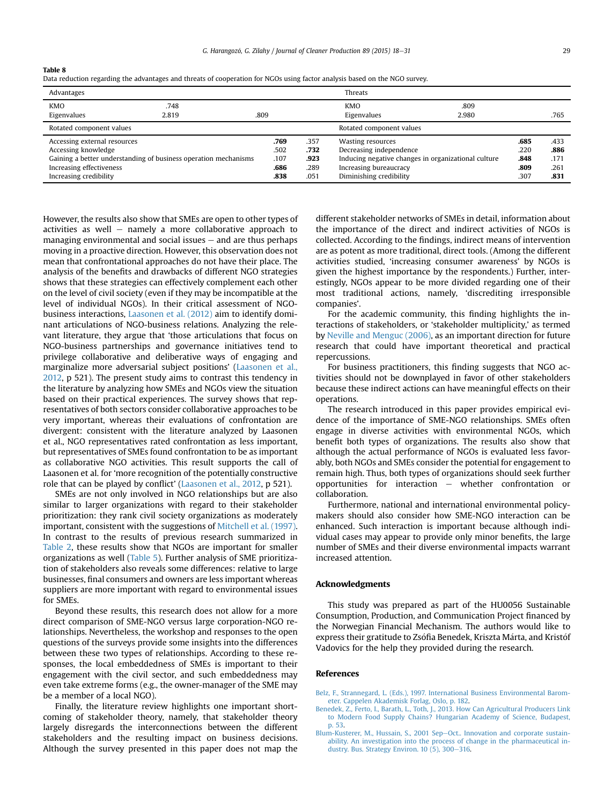<span id="page-12-0"></span>Table 8

| Data reduction regarding the advantages and threats of cooperation for NGOs using factor analysis based on the NGO survey. |  |  |
|----------------------------------------------------------------------------------------------------------------------------|--|--|
|----------------------------------------------------------------------------------------------------------------------------|--|--|

| Advantages                                                      |       |      |      |      | <b>Threats</b>                                      |       |      |      |
|-----------------------------------------------------------------|-------|------|------|------|-----------------------------------------------------|-------|------|------|
| <b>KMO</b>                                                      | .748  |      |      |      | <b>KMO</b>                                          | .809  |      |      |
| Eigenvalues                                                     | 2.819 | .809 |      |      | Eigenvalues                                         | 2.980 |      | .765 |
| Rotated component values                                        |       |      |      |      | Rotated component values                            |       |      |      |
| Accessing external resources                                    |       |      | .769 | .357 | Wasting resources                                   |       | .685 | .433 |
| Accessing knowledge                                             |       |      | .502 | .732 | Decreasing independence                             |       | .220 | .886 |
| Gaining a better understanding of business operation mechanisms |       |      | .107 | .923 | Inducing negative changes in organizational culture |       | .848 | .171 |
| Increasing effectiveness                                        |       |      | .686 | .289 | Increasing bureaucracy                              |       | .809 | .261 |
| Increasing credibility                                          |       |      | .838 | .051 | Diminishing credibility                             |       | .307 | .831 |

However, the results also show that SMEs are open to other types of activities as well  $-$  namely a more collaborative approach to managing environmental and social issues  $-$  and are thus perhaps moving in a proactive direction. However, this observation does not mean that confrontational approaches do not have their place. The analysis of the benefits and drawbacks of different NGO strategies shows that these strategies can effectively complement each other on the level of civil society (even if they may be incompatible at the level of individual NGOs). In their critical assessment of NGObusiness interactions, [Laasonen et al. \(2012\)](#page-13-0) aim to identify dominant articulations of NGO-business relations. Analyzing the relevant literature, they argue that 'those articulations that focus on NGO-business partnerships and governance initiatives tend to privilege collaborative and deliberative ways of engaging and marginalize more adversarial subject positions' [\(Laasonen et al.,](#page-13-0) [2012,](#page-13-0) p 521). The present study aims to contrast this tendency in the literature by analyzing how SMEs and NGOs view the situation based on their practical experiences. The survey shows that representatives of both sectors consider collaborative approaches to be very important, whereas their evaluations of confrontation are divergent: consistent with the literature analyzed by Laasonen et al., NGO representatives rated confrontation as less important, but representatives of SMEs found confrontation to be as important as collaborative NGO activities. This result supports the call of Laasonen et al. for 'more recognition of the potentially constructive role that can be played by conflict' ([Laasonen et al., 2012](#page-13-0), p 521).

SMEs are not only involved in NGO relationships but are also similar to larger organizations with regard to their stakeholder prioritization: they rank civil society organizations as moderately important, consistent with the suggestions of [Mitchell et al. \(1997\).](#page-13-0) In contrast to the results of previous research summarized in [Table 2](#page-4-0), these results show that NGOs are important for smaller organizations as well [\(Table 5\)](#page-8-0). Further analysis of SME prioritization of stakeholders also reveals some differences: relative to large businesses, final consumers and owners are less important whereas suppliers are more important with regard to environmental issues for SMEs.

Beyond these results, this research does not allow for a more direct comparison of SME-NGO versus large corporation-NGO relationships. Nevertheless, the workshop and responses to the open questions of the surveys provide some insights into the differences between these two types of relationships. According to these responses, the local embeddedness of SMEs is important to their engagement with the civil sector, and such embeddedness may even take extreme forms (e.g., the owner-manager of the SME may be a member of a local NGO).

Finally, the literature review highlights one important shortcoming of stakeholder theory, namely, that stakeholder theory largely disregards the interconnections between the different stakeholders and the resulting impact on business decisions. Although the survey presented in this paper does not map the different stakeholder networks of SMEs in detail, information about the importance of the direct and indirect activities of NGOs is collected. According to the findings, indirect means of intervention are as potent as more traditional, direct tools. (Among the different activities studied, 'increasing consumer awareness' by NGOs is given the highest importance by the respondents.) Further, interestingly, NGOs appear to be more divided regarding one of their most traditional actions, namely, 'discrediting irresponsible companies'.

For the academic community, this finding highlights the interactions of stakeholders, or 'stakeholder multiplicity,' as termed by [Neville and Menguc \(2006\)](#page-13-0), as an important direction for future research that could have important theoretical and practical repercussions.

For business practitioners, this finding suggests that NGO activities should not be downplayed in favor of other stakeholders because these indirect actions can have meaningful effects on their operations.

The research introduced in this paper provides empirical evidence of the importance of SME-NGO relationships. SMEs often engage in diverse activities with environmental NGOs, which benefit both types of organizations. The results also show that although the actual performance of NGOs is evaluated less favorably, both NGOs and SMEs consider the potential for engagement to remain high. Thus, both types of organizations should seek further opportunities for interaction  $-$  whether confrontation or collaboration.

Furthermore, national and international environmental policymakers should also consider how SME-NGO interaction can be enhanced. Such interaction is important because although individual cases may appear to provide only minor benefits, the large number of SMEs and their diverse environmental impacts warrant increased attention.

## Acknowledgments

This study was prepared as part of the HU0056 Sustainable Consumption, Production, and Communication Project financed by the Norwegian Financial Mechanism. The authors would like to express their gratitude to Zsófia Benedek, Kriszta Márta, and Kristóf Vadovics for the help they provided during the research.

### References

[Belz, F., Strannegard, L. \(Eds.\), 1997. International Business Environmental Barom](http://refhub.elsevier.com/S0959-6526(14)01164-0/sref1)[eter. Cappelen Akademisk Forlag, Oslo, p. 182.](http://refhub.elsevier.com/S0959-6526(14)01164-0/sref1)

[Benedek, Z., Ferto, I., Barath, L., Toth, J., 2013. How Can Agricultural Producers Link](http://refhub.elsevier.com/S0959-6526(14)01164-0/sref2) [to Modern Food Supply Chains? Hungarian Academy of Science, Budapest,](http://refhub.elsevier.com/S0959-6526(14)01164-0/sref2) [p. 53.](http://refhub.elsevier.com/S0959-6526(14)01164-0/sref2)

[Blum-Kusterer, M., Hussain, S., 2001 Sep](http://refhub.elsevier.com/S0959-6526(14)01164-0/sref3)-[Oct.. Innovation and corporate sustain](http://refhub.elsevier.com/S0959-6526(14)01164-0/sref3)[ability. An investigation into the process of change in the pharmaceutical in](http://refhub.elsevier.com/S0959-6526(14)01164-0/sref3)dustry. Bus. Strategy Environ.  $10$  (5),  $300-316$ .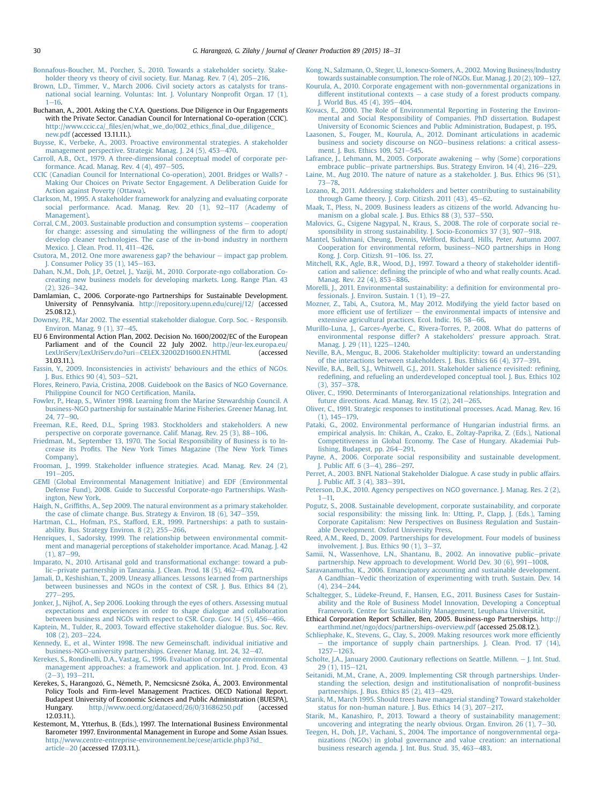- <span id="page-13-0"></span>[Bonnafous-Boucher, M., Porcher, S., 2010. Towards a stakeholder society. Stake](http://refhub.elsevier.com/S0959-6526(14)01164-0/sref4)holder theory vs theory of civil society. Eur. Manag. Rev.  $7(4)$ ,  $205-216$ .
- [Brown, L.D., Timmer, V., March 2006. Civil society actors as catalysts for trans](http://refhub.elsevier.com/S0959-6526(14)01164-0/sref5)[national social learning. Voluntas: Int. J. Voluntary Nonpro](http://refhub.elsevier.com/S0959-6526(14)01164-0/sref5)fit Organ. 17 (1),  $1 - 16$  $1 - 16$  $1 - 16$
- Buchanan, A., 2001. Asking the C.Y.A. Questions. Due Diligence in Our Engagements with the Private Sector. Canadian Council for International Co-operation (CCIC). http://www.ccic.ca/\_fi[les/en/what\\_we\\_do/002\\_ethics\\_](http://www.ccic.ca/_files/en/what_we_do/002_ethics_final_due_diligence_new.pdf)final\_due\_diligence\_ [new.pdf](http://www.ccic.ca/_files/en/what_we_do/002_ethics_final_due_diligence_new.pdf) (accessed 13.11.11.).
- [Buysse, K., Verbeke, A., 2003. Proactive environmental strategies. A stakeholder](http://refhub.elsevier.com/S0959-6526(14)01164-0/sref7) [management perspective. Strategic Manag. J. 24 \(5\), 453](http://refhub.elsevier.com/S0959-6526(14)01164-0/sref7)-[470](http://refhub.elsevier.com/S0959-6526(14)01164-0/sref7).
- [Carroll, A.B., Oct., 1979. A three-dimensional conceptual model of corporate per](http://refhub.elsevier.com/S0959-6526(14)01164-0/sref8)formance. Acad. Manag. Rev.  $4(4)$ ,  $497-505$  $497-505$ .
- [CCIC \(Canadian Council for International Co-operation\), 2001. Bridges or Walls? -](http://refhub.elsevier.com/S0959-6526(14)01164-0/sref9) [Making Our Choices on Private Sector Engagement. A Deliberation Guide for](http://refhub.elsevier.com/S0959-6526(14)01164-0/sref9) [Action against Poverty \(Ottawa\)](http://refhub.elsevier.com/S0959-6526(14)01164-0/sref9).
- [Clarkson, M., 1995. A stakeholder framework for analyzing and evaluating corporate](http://refhub.elsevier.com/S0959-6526(14)01164-0/sref10) social performance. Acad. Manag. Rev.  $20(1)$ ,  $92-117$  (Academy of [Management\)](http://refhub.elsevier.com/S0959-6526(14)01164-0/sref10).
- [Corral, C.M., 2003. Sustainable production and consumption systems](http://refhub.elsevier.com/S0959-6526(14)01164-0/sref11)  $-$  [cooperation](http://refhub.elsevier.com/S0959-6526(14)01164-0/sref11) [for change: assessing and simulating the willingness of the](http://refhub.elsevier.com/S0959-6526(14)01164-0/sref11) firm to adopt/ [develop cleaner technologies. The case of the in-bond industry in northern](http://refhub.elsevier.com/S0959-6526(14)01164-0/sref11) [Mexico. J. Clean. Prod. 11, 411](http://refhub.elsevier.com/S0959-6526(14)01164-0/sref11)-[426](http://refhub.elsevier.com/S0959-6526(14)01164-0/sref11).
- [Csutora, M., 2012. One more awareness gap? the behaviour](http://refhub.elsevier.com/S0959-6526(14)01164-0/sref12)  $-$  [impact gap problem.](http://refhub.elsevier.com/S0959-6526(14)01164-0/sref12) [J. Consumer Policy 35 \(1\), 145](http://refhub.elsevier.com/S0959-6526(14)01164-0/sref12)–[163.](http://refhub.elsevier.com/S0959-6526(14)01164-0/sref12)<br>[Dahan, N.,M., Doh, J.P., Oetzel, J., Yaziji, M., 2010. Corporate-ngo collaboration. Co-](http://refhub.elsevier.com/S0959-6526(14)01164-0/sref13)
- [creating new business models for developing markets. Long. Range Plan. 43](http://refhub.elsevier.com/S0959-6526(14)01164-0/sref13)  $(2)$ , 326-[342.](http://refhub.elsevier.com/S0959-6526(14)01164-0/sref13)
- Damlamian, C., 2006. Corporate-ngo Partnerships for Sustainable Development. University of Pennsylvania. <http://repository.upenn.edu/curej/12/> (accessed 25.08.12.).
- [Downey, P.R., Mar 2002. The essential stakeholder dialogue. Corp. Soc. Responsib.](http://refhub.elsevier.com/S0959-6526(14)01164-0/sref15) [Environ. Manag. 9 \(1\), 37](http://refhub.elsevier.com/S0959-6526(14)01164-0/sref15)-[45](http://refhub.elsevier.com/S0959-6526(14)01164-0/sref15).
- EU 6 Environmental Action Plan, 2002. Decision No. 1600/2002/EC of the European Parliament and of the Council 22 July 2002. [http.//eur-lex.europa.eu/](http://http.//eur-lex.europa.eu/LexUriServ/LexUriServ.do?uri=CELEX.32002D1600.EN.HTML) [LexUriServ/LexUriServ.do?uri](http://http.//eur-lex.europa.eu/LexUriServ/LexUriServ.do?uri=CELEX.32002D1600.EN.HTML)=[CELEX.32002D1600.EN.HTML](http://http.//eur-lex.europa.eu/LexUriServ/LexUriServ.do?uri=CELEX.32002D1600.EN.HTML) (accessed 31.03.11.).
- [Fassin, Y., 2009. Inconsistencies in activists' behaviours and the ethics of NGOs.](http://refhub.elsevier.com/S0959-6526(14)01164-0/sref17) [J. Bus. Ethics 90 \(4\), 503](http://refhub.elsevier.com/S0959-6526(14)01164-0/sref17)-[521.](http://refhub.elsevier.com/S0959-6526(14)01164-0/sref17)
- [Flores, Reinero, Pavia, Cristina, 2008. Guidebook on the Basics of NGO Governance.](http://refhub.elsevier.com/S0959-6526(14)01164-0/sref18) [Philippine Council for NGO Certi](http://refhub.elsevier.com/S0959-6526(14)01164-0/sref18)fication, Manila.
- [Fowler, P., Heap, S., Winter 1998. Learning from the Marine Stewardship Council. A](http://refhub.elsevier.com/S0959-6526(14)01164-0/sref19) [business-NGO partnership for sustainable Marine Fisheries. Greener Manag. Int.](http://refhub.elsevier.com/S0959-6526(14)01164-0/sref19)  $24.77 - 90.$  $24.77 - 90.$  $24.77 - 90.$
- [Freeman, R.E., Reed, D.L., Spring 1983. Stockholders and stakeholders. A new](http://refhub.elsevier.com/S0959-6526(14)01164-0/sref20) [perspective on corporate governance. Calif. Manag. Rev. 25 \(3\), 88](http://refhub.elsevier.com/S0959-6526(14)01164-0/sref20)-[106.](http://refhub.elsevier.com/S0959-6526(14)01164-0/sref20)
- [Friedman, M., September 13, 1970. The Social Responsibility of Business is to In](http://refhub.elsevier.com/S0959-6526(14)01164-0/sref21)crease its Profi[ts. The New York Times Magazine \(The New York Times](http://refhub.elsevier.com/S0959-6526(14)01164-0/sref21) [Company\).](http://refhub.elsevier.com/S0959-6526(14)01164-0/sref21)
- Frooman, J., 1999. Stakeholder infl[uence strategies. Acad. Manag. Rev. 24 \(2\),](http://refhub.elsevier.com/S0959-6526(14)01164-0/sref22)  $191 - 205$  $191 - 205$ .
- [GEMI \(Global Environmental Management Initiative\) and EDF \(Environmental](http://refhub.elsevier.com/S0959-6526(14)01164-0/sref23) [Defense Fund\), 2008. Guide to Successful Corporate-ngo Partnerships. Wash](http://refhub.elsevier.com/S0959-6526(14)01164-0/sref23)[ington, New York.](http://refhub.elsevier.com/S0959-6526(14)01164-0/sref23)
- Haigh, N., Griffi[ths, A., Sep 2009. The natural environment as a primary stakeholder.](http://refhub.elsevier.com/S0959-6526(14)01164-0/sref24) [the case of climate change. Bus. Strategy](http://refhub.elsevier.com/S0959-6526(14)01164-0/sref24) & Environ. 18 (6),  $347-359$  $347-359$ .
- [Hartman, C.L., Hofman, P.S., Stafford, E.R., 1999. Partnerships: a path to sustain](http://refhub.elsevier.com/S0959-6526(14)01164-0/sref25)ability. Bus. Strategy Environ. 8  $(2)$ ,  $255-266$  $255-266$ .
- [Henriques, I., Sadorsky, 1999. The relationship between environmental commit](http://refhub.elsevier.com/S0959-6526(14)01164-0/sref26)[ment and managerial perceptions of stakeholder importance. Acad. Manag. J. 42](http://refhub.elsevier.com/S0959-6526(14)01164-0/sref26)  $(1), 87-99.$  $(1), 87-99.$  $(1), 87-99.$  $(1), 87-99.$
- [Imparato, N., 2010. Artisanal gold and transformational exchange: toward a pub](http://refhub.elsevier.com/S0959-6526(14)01164-0/sref27)[lic](http://refhub.elsevier.com/S0959-6526(14)01164-0/sref27)-[private partnership in Tanzania. J. Clean. Prod. 18 \(5\), 462](http://refhub.elsevier.com/S0959-6526(14)01164-0/sref27)-[470](http://refhub.elsevier.com/S0959-6526(14)01164-0/sref27).
- [Jamali, D., Keshishian, T., 2009. Uneasy alliances. Lessons learned from partnerships](http://refhub.elsevier.com/S0959-6526(14)01164-0/sref28) [between businesses and NGOs in the context of CSR. J. Bus. Ethics 84 \(2\),](http://refhub.elsevier.com/S0959-6526(14)01164-0/sref28)  $277 - 295$  $277 - 295$  $277 - 295$
- [Jonker, J., Nijhof, A., Sep 2006. Looking through the eyes of others. Assessing mutual](http://refhub.elsevier.com/S0959-6526(14)01164-0/sref29) [expectations and experiences in order to shape dialogue and collaboration](http://refhub.elsevier.com/S0959-6526(14)01164-0/sref29) [between business and NGOs with respect to CSR. Corp. Gov. 14 \(5\), 456](http://refhub.elsevier.com/S0959-6526(14)01164-0/sref29)-[466](http://refhub.elsevier.com/S0959-6526(14)01164-0/sref29).
- [Kaptein, M., Tulder, R., 2003. Toward effective stakeholder dialogue. Bus. Soc. Rev.](http://refhub.elsevier.com/S0959-6526(14)01164-0/sref30) [108 \(2\), 203](http://refhub.elsevier.com/S0959-6526(14)01164-0/sref30)-[224](http://refhub.elsevier.com/S0959-6526(14)01164-0/sref30).
- [Kennedy, E., et al., Winter 1998. The new Gemeinschaft. individual initiative and](http://refhub.elsevier.com/S0959-6526(14)01164-0/sref31) [business-NGO-university partnerships. Greener Manag. Int. 24, 32](http://refhub.elsevier.com/S0959-6526(14)01164-0/sref31)-[47.](http://refhub.elsevier.com/S0959-6526(14)01164-0/sref31)
- [Kerekes, S., Rondinelli, D.A., Vastag, G., 1996. Evaluation of corporate environmental](http://refhub.elsevier.com/S0959-6526(14)01164-0/sref32) [management approaches: a framework and application. Int. J. Prod. Econ. 43](http://refhub.elsevier.com/S0959-6526(14)01164-0/sref32)  $(2-3)$  $(2-3)$ , 193 $-211$ .
- Kerekes, S., Harangozó, G., Németh, P., Nemcsicsné Zsóka, Á., 2003. Environmental Policy Tools and Firm-level Management Practices. OECD National Report. Budapest University of Economic Sciences and Public Administration (BUESPA), Hungary. [http.//www.oecd.org/dataoecd/26/0/31686250.pdf](http://http.//www.oecd.org/dataoecd/26/0/31686250.pdf) (accessed 12.03.11.).
- Kestemont, M., Ytterhus, B. (Eds.), 1997. The International Business Environmental Barometer 1997. Environmental Management in Europe and Some Asian Issues. [http.//www.centre-entreprise-environnement.be/cese/article.php3?id\\_](http://http.//www.centre-entreprise-environnement.be/cese/article.php3?id_article=20) [article](http://http.//www.centre-entreprise-environnement.be/cese/article.php3?id_article=20)=[20](http://http.//www.centre-entreprise-environnement.be/cese/article.php3?id_article=20) (accessed 17.03.11.).
- [Kong, N., Salzmann, O., Steger, U., Ionescu-Somers, A., 2002. Moving Business/Industry](http://refhub.elsevier.com/S0959-6526(14)01164-0/sref35) towards sustainable consumption. The role of NGOs. Eur. Manag. J.  $20(2)$ ,  $109-127$ .
- [Kourula, A., 2010. Corporate engagement with non-governmental organizations in](http://refhub.elsevier.com/S0959-6526(14)01164-0/sref36) [different institutional contexts](http://refhub.elsevier.com/S0959-6526(14)01164-0/sref36)  $-$  [a case study of a forest products company.](http://refhub.elsevier.com/S0959-6526(14)01164-0/sref36) J. World Bus.  $45(4)$ ,  $395-404$  $395-404$ .
- [Kovacs, E., 2000. The Role of Environmental Reporting in Fostering the Environ](http://refhub.elsevier.com/S0959-6526(14)01164-0/sref37)[mental and Social Responsibility of Companies. PhD dissertation. Budapest](http://refhub.elsevier.com/S0959-6526(14)01164-0/sref37) [University of Economic Sciences and Public Administration, Budapest, p. 195](http://refhub.elsevier.com/S0959-6526(14)01164-0/sref37).
- [Laasonen, S., Fouger, M., Kourula, A., 2012. Dominant articulations in academic](http://refhub.elsevier.com/S0959-6526(14)01164-0/sref38) [business and society discourse on NGO](http://refhub.elsevier.com/S0959-6526(14)01164-0/sref38)-[business relations: a critical assess-](http://refhub.elsevier.com/S0959-6526(14)01164-0/sref38)ment. I. Bus. Ethics 109, 521-[545.](http://refhub.elsevier.com/S0959-6526(14)01164-0/sref38)
- [Lafrance, J., Lehmann, M., 2005. Corporate awakening](http://refhub.elsevier.com/S0959-6526(14)01164-0/sref39)  $-$  [why \(Some\) corporations](http://refhub.elsevier.com/S0959-6526(14)01164-0/sref39) [embrace public](http://refhub.elsevier.com/S0959-6526(14)01164-0/sref39)-private partnerships. Bus. Strategy Environ.  $14$  (4),  $216-229$ .
- [Laine, M., Aug 2010. The nature of nature as a stakeholder. J. Bus. Ethics 96 \(S1\),](http://refhub.elsevier.com/S0959-6526(14)01164-0/sref40)  $73 - 78.$  $73 - 78.$  $73 - 78.$
- [Lozano, R., 2011. Addressing stakeholders and better contributing to sustainability](http://refhub.elsevier.com/S0959-6526(14)01164-0/sref41) through Game theory. J. Corp. Citizsh.  $2011$  (43), 45-[62.](http://refhub.elsevier.com/S0959-6526(14)01164-0/sref41)
- [Maak, T., Pless, N., 2009. Business leaders as citizens of the world. Advancing hu-](http://refhub.elsevier.com/S0959-6526(14)01164-0/sref42)
- [manism on a global scale. J. Bus. Ethics 88 \(3\), 537](http://refhub.elsevier.com/S0959-6526(14)01164-0/sref42)–[550](http://refhub.elsevier.com/S0959-6526(14)01164-0/sref42).<br>[Malovics, G., Csigene Nagypal, N., Kraus, S., 2008. The role of corporate social re](http://refhub.elsevier.com/S0959-6526(14)01164-0/sref43)[sponsibility in strong sustainability. J. Socio-Economics 37 \(3\), 907](http://refhub.elsevier.com/S0959-6526(14)01164-0/sref43)-[918](http://refhub.elsevier.com/S0959-6526(14)01164-0/sref43).
- [Mantel, Sukhmani, Cheung, Dennis, Welford, Richard, Hills, Peter, Autumn 2007.](http://refhub.elsevier.com/S0959-6526(14)01164-0/sref44) [Cooperation for environmental reform, business](http://refhub.elsevier.com/S0959-6526(14)01164-0/sref44)-[NGO partnerships in Hong](http://refhub.elsevier.com/S0959-6526(14)01164-0/sref44) [Kong. J. Corp. Citizsh. 91](http://refhub.elsevier.com/S0959-6526(14)01164-0/sref44)-[106. Iss. 27.](http://refhub.elsevier.com/S0959-6526(14)01164-0/sref44)
- [Mitchell, R.K., Agle, B.R., Wood, D.J., 1997. Toward a theory of stakeholder identi](http://refhub.elsevier.com/S0959-6526(14)01164-0/sref45)fication and salience: defi[ning the principle of who and what really counts. Acad.](http://refhub.elsevier.com/S0959-6526(14)01164-0/sref45)
- [Manag. Rev. 22 \(4\), 853](http://refhub.elsevier.com/S0959-6526(14)01164-0/sref45)–[886](http://refhub.elsevier.com/S0959-6526(14)01164-0/sref45).<br>[Morelli, J., 2011. Environmental sustainability: a de](http://refhub.elsevier.com/S0959-6526(14)01164-0/sref46)finition for environmental professionals. J. Environ. Sustain.  $1$  (1),  $19-27$ .
- [Mozner, Z., Tabi, A., Csutora, M., May 2012. Modifying the yield factor based on](http://refhub.elsevier.com/S0959-6526(14)01164-0/sref47) more effi[cient use of fertilizer](http://refhub.elsevier.com/S0959-6526(14)01164-0/sref47)  $-$  [the environmental impacts of intensive and](http://refhub.elsevier.com/S0959-6526(14)01164-0/sref47) [extensive agricultural practices. Ecol. Indic. 16, 58](http://refhub.elsevier.com/S0959-6526(14)01164-0/sref47)-[66.](http://refhub.elsevier.com/S0959-6526(14)01164-0/sref47)
- [Murillo-Luna, J., Garces-Ayerbe, C., Rivera-Torres, P., 2008. What do patterns of](http://refhub.elsevier.com/S0959-6526(14)01164-0/sref48) [environmental response differ? A stakeholders' pressure approach. Strat.](http://refhub.elsevier.com/S0959-6526(14)01164-0/sref48) [Manag. J. 29 \(11\), 1225](http://refhub.elsevier.com/S0959-6526(14)01164-0/sref48)-[1240.](http://refhub.elsevier.com/S0959-6526(14)01164-0/sref48)
- [Neville, B.A., Menguc, B., 2006. Stakeholder multiplicity: toward an understanding](http://refhub.elsevier.com/S0959-6526(14)01164-0/sref49) [of the interactions between stakeholders. J. Bus. Ethics 66 \(4\), 377](http://refhub.elsevier.com/S0959-6526(14)01164-0/sref49)-[391.](http://refhub.elsevier.com/S0959-6526(14)01164-0/sref49)
- [Neville, B.A., Bell, S.J., Whitwell, G.J., 2011. Stakeholder salience revisited: re](http://refhub.elsevier.com/S0959-6526(14)01164-0/sref50)fining, redefi[ning, and refueling an underdeveloped conceptual tool. J. Bus. Ethics 102](http://refhub.elsevier.com/S0959-6526(14)01164-0/sref50)  $(3), 357 - 378$  $(3), 357 - 378$  $(3), 357 - 378$
- [Oliver, C., 1990. Determinants of Interorganizational relationships. Integration and](http://refhub.elsevier.com/S0959-6526(14)01164-0/sref51) future directions. Acad. Manag. Rev. 15  $(2)$ , 241-[265.](http://refhub.elsevier.com/S0959-6526(14)01164-0/sref51)
- [Oliver, C., 1991. Strategic responses to institutional processes. Acad. Manag. Rev. 16](http://refhub.elsevier.com/S0959-6526(14)01164-0/sref52)  $(1), 145 - 179.$  $(1), 145 - 179.$  $(1), 145 - 179.$
- [Pataki, G., 2002. Environmental performance of Hungarian industrial](http://refhub.elsevier.com/S0959-6526(14)01164-0/sref53) firms. an [empirical analysis. In: Chik](http://refhub.elsevier.com/S0959-6526(14)01164-0/sref53)a[n, A., Czako, E., Zoltay-Paprika, Z. \(Eds.\), National](http://refhub.elsevier.com/S0959-6526(14)01164-0/sref53) [Competitiveness in Global Economy. The Case of Hungary. Akademiai Pub](http://refhub.elsevier.com/S0959-6526(14)01164-0/sref53)[lishing, Budapest, pp. 264](http://refhub.elsevier.com/S0959-6526(14)01164-0/sref53)-[291.](http://refhub.elsevier.com/S0959-6526(14)01164-0/sref53)
- [Payne, A., 2006. Corporate social responsibility and sustainable development.](http://refhub.elsevier.com/S0959-6526(14)01164-0/sref54) [J. Public Aff. 6 \(3](http://refhub.elsevier.com/S0959-6526(14)01164-0/sref54)-[4\), 286](http://refhub.elsevier.com/S0959-6526(14)01164-0/sref54)-[297.](http://refhub.elsevier.com/S0959-6526(14)01164-0/sref54)
- [Perret, A., 2003. BNFL National Stakeholder Dialogue. A case study in public affairs.](http://refhub.elsevier.com/S0959-6526(14)01164-0/sref55) [J. Public Aff. 3 \(4\), 383](http://refhub.elsevier.com/S0959-6526(14)01164-0/sref55)-[391.](http://refhub.elsevier.com/S0959-6526(14)01164-0/sref55)
- [Peterson, D.,K., 2010. Agency perspectives on NGO governance. J. Manag. Res. 2 \(2\),](http://refhub.elsevier.com/S0959-6526(14)01164-0/sref56)  $1 - 11$  $1 - 11$ .
- [Pogutz, S., 2008. Sustainable development, corporate sustainability, and corporate](http://refhub.elsevier.com/S0959-6526(14)01164-0/sref57) [social responsibility: the missing link. In: Utting, P., Clapp, J. \(Eds.\), Taming](http://refhub.elsevier.com/S0959-6526(14)01164-0/sref57) [Corporate Capitalism: New Perspectives on Business Regulation and Sustain](http://refhub.elsevier.com/S0959-6526(14)01164-0/sref57)[able Development. Oxford University Press.](http://refhub.elsevier.com/S0959-6526(14)01164-0/sref57)
- [Reed, A.M., Reed, D., 2009. Partnerships for development. Four models of business](http://refhub.elsevier.com/S0959-6526(14)01164-0/sref58) involvement. J. Bus. Ethics  $90(1)$ ,  $3-37$ .
- [Samii, N., Wassenhove, L.N., Shantanu, B., 2002. An innovative public](http://refhub.elsevier.com/S0959-6526(14)01164-0/sref59)-[private](http://refhub.elsevier.com/S0959-6526(14)01164-0/sref59) [partnership. New approach to development. World Dev. 30 \(6\), 991](http://refhub.elsevier.com/S0959-6526(14)01164-0/sref59)-[1008.](http://refhub.elsevier.com/S0959-6526(14)01164-0/sref59)
- [Saravanamuthu, K., 2006. Emancipatory accounting and sustainable development.](http://refhub.elsevier.com/S0959-6526(14)01164-0/sref60) [A Gandhian](http://refhub.elsevier.com/S0959-6526(14)01164-0/sref60)–[Vedic theorization of experimenting with truth. Sustain. Dev. 14](http://refhub.elsevier.com/S0959-6526(14)01164-0/sref60)  $(4)$ ,  $234 - 244$ .
- [Schaltegger, S., Lüdeke-Freund, F., Hansen, E.G., 2011. Business Cases for Sustain](http://refhub.elsevier.com/S0959-6526(14)01164-0/sref61)[ability and the Role of Business Model Innovation, Developing a Conceptual](http://refhub.elsevier.com/S0959-6526(14)01164-0/sref61) [Framework. Centre for Sustainability Management, Leuphana Universit](http://refhub.elsevier.com/S0959-6526(14)01164-0/sref61)ä[t](http://refhub.elsevier.com/S0959-6526(14)01164-0/sref61).
- Ethical Corporation Report Schiller, Ben, 2005. Business-ngo Partnerships. [http://](http://earthmind.net/ngo/docs/partnerships-overview.pdf) [earthmind.net/ngo/docs/partnerships-overview.pdf](http://earthmind.net/ngo/docs/partnerships-overview.pdf) (accessed 25.08.12.).
- [Schliephake, K., Stevens, G., Clay, S., 2009. Making resources work more ef](http://refhub.elsevier.com/S0959-6526(14)01164-0/sref63)ficiently [the importance of supply chain partnerships. J. Clean. Prod. 17 \(14\),](http://refhub.elsevier.com/S0959-6526(14)01164-0/sref63)  $1257 - 1263$  $1257 - 1263$  $1257 - 1263$ .
- [Scholte, J.A., January 2000. Cautionary re](http://refhub.elsevier.com/S0959-6526(14)01164-0/sref64)flections on Seattle. Millenn. [J. Int. Stud.](http://refhub.elsevier.com/S0959-6526(14)01164-0/sref64)  $29(1)$ ,  $115-121$ .
- [Seitanidi, M.,M., Crane, A., 2009. Implementing CSR through partnerships. Under](http://refhub.elsevier.com/S0959-6526(14)01164-0/sref65)[standing the selection, design and institutionalisation of nonpro](http://refhub.elsevier.com/S0959-6526(14)01164-0/sref65)fit-business partnerships. J. Bus. Ethics  $85$  (2),  $413-429$  $413-429$ .
- [Starik, M., March 1995. Should trees have managerial standing? Toward stakeholder](http://refhub.elsevier.com/S0959-6526(14)01164-0/sref66) status for non-human nature. J. Bus. Ethics  $14$  (3),  $207-217$ .
- [Starik, M., Kanashiro, P., 2013. Toward a theory of sustainability management:](http://refhub.elsevier.com/S0959-6526(14)01164-0/sref67) uncovering and integrating the nearly obvious. Organ. Environ. 26  $(1)$ ,  $7-30$ .
- [Teegen, H., Doh, J.P., Vachani, S., 2004. The importance of nongovernmental orga](http://refhub.elsevier.com/S0959-6526(14)01164-0/sref68)[nizations \(NGOs\) in global governance and value creation: an international](http://refhub.elsevier.com/S0959-6526(14)01164-0/sref68) [business research agenda. J. Int. Bus. Stud. 35, 463](http://refhub.elsevier.com/S0959-6526(14)01164-0/sref68)-[483.](http://refhub.elsevier.com/S0959-6526(14)01164-0/sref68)